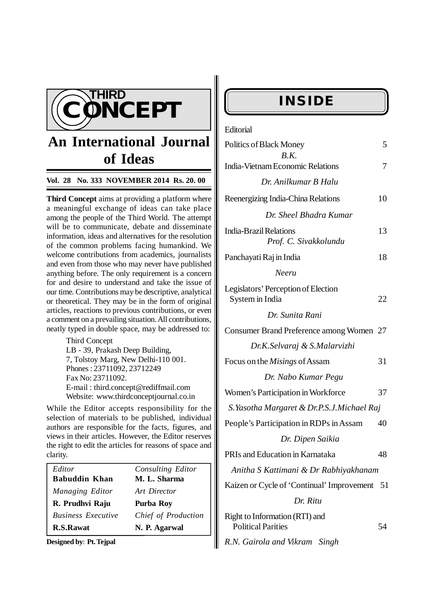

# **An International Journal of Ideas**

#### **Vol. 28 No. 333 NOVEMBER 2014 Rs. 20. 00**

**Third Concept** aims at providing a platform where a meaningful exchange of ideas can take place among the people of the Third World. The attempt will be to communicate, debate and disseminate information, ideas and alternatives for the resolution of the common problems facing humankind. We welcome contributions from academics, journalists and even from those who may never have published anything before. The only requirement is a concern for and desire to understand and take the issue of our time. Contributions may be descriptive, analytical or theoretical. They may be in the form of original articles, reactions to previous contributions, or even a comment on a prevailing situation. All contributions, neatly typed in double space, may be addressed to:

> Third Concept LB - 39, Prakash Deep Building, 7, Tolstoy Marg, New Delhi-110 001. Phones : 23711092, 23712249 Fax No: 23711092. E-mail : third.concept@rediffmail.com Website: www.thirdconceptjournal.co.in

While the Editor accepts responsibility for the selection of materials to be published, individual authors are responsible for the facts, figures, and views in their articles. However, the Editor reserves the right to edit the articles for reasons of space and clarity.

| Editor                    | Consulting Editor   |
|---------------------------|---------------------|
| <b>Babuddin Khan</b>      | M. L. Sharma        |
| Managing Editor           | Art Director        |
| R. Prudhvi Raju           | Purba Roy           |
| <b>Business Executive</b> | Chief of Production |
| R.S.Rawat                 | N. P. Agarwal       |

**Designed by**: **Pt. Tejpal**

# **DT**  $\|\|$  inside

| Editorial |
|-----------|
|-----------|

| Politics of Black Money                                     | 5  |
|-------------------------------------------------------------|----|
| R.K.<br>India-Vietnam Economic Relations                    | 7  |
| Dr. Anilkumar B Halu                                        |    |
| Reenergizing India-China Relations                          | 10 |
| Dr. Sheel Bhadra Kumar                                      |    |
| <b>India-Brazil Relations</b><br>Prof. C. Sivakkolundu      | 13 |
| Panchayati Raj in India                                     | 18 |
| Neeru                                                       |    |
| Legislators' Perception of Election<br>System in India      | 22 |
| Dr. Sunita Rani                                             |    |
| Consumer Brand Preference among Women 27                    |    |
| Dr.K.Selvaraj & S.Malarvizhi                                |    |
| Focus on the <i>Misings</i> of Assam                        | 31 |
| Dr. Nabo Kumar Pegu                                         |    |
| Women's Participation in Workforce                          | 37 |
| S. Yasotha Margaret & Dr.P.S.J.Michael Raj                  |    |
| People's Participation in RDPs in Assam                     | 40 |
| Dr. Dipen Saikia                                            |    |
| PRIs and Education in Karnataka                             | 48 |
| Anitha S Kattimani & Dr Rabhiyakhanam                       |    |
| Kaizen or Cycle of 'Continual' Improvement 51               |    |
| Dr. Ritu                                                    |    |
| Right to Information (RTI) and<br><b>Political Parities</b> | 54 |
| R.N. Gairola and Vikram Singh                               |    |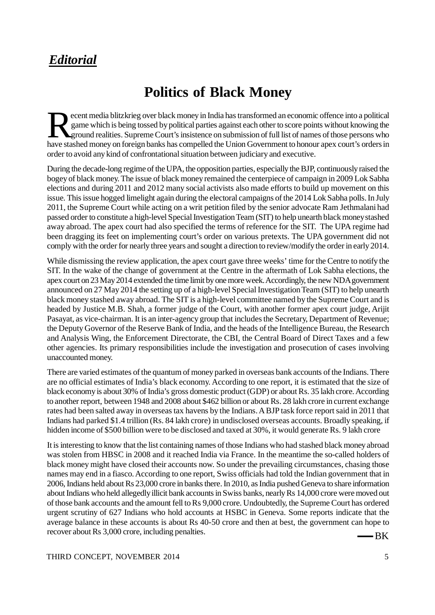## *Editorial*

# **Politics of Black Money**

Exame which is being tossed by political parties against each other to score points without knowing the ground realities. Supreme Court's insistence on submission of full list of names of those persons who have stashed mon ecent media blitzkrieg over black money in India has transformed an economic offence into a political game which is being tossed by political parties against each other to score points without knowing the **ground realities. Supreme Court's insistence on submission of full list of names of those persons who** order to avoid any kind of confrontational situation between judiciary and executive.

During the decade-long regime of the UPA, the opposition parties, especially the BJP, continuously raised the bogey of black money. The issue of black money remained the centerpiece of campaign in 2009 Lok Sabha elections and during 2011 and 2012 many social activists also made efforts to build up movement on this issue. This issue hogged limelight again during the electoral campaigns of the 2014 Lok Sabha polls. In July 2011, the Supreme Court while acting on a writ petition filed by the senior advocate Ram Jethmalani had passed order to constitute a high-level Special Investigation Team (SIT) to help unearth black money stashed away abroad. The apex court had also specified the terms of reference for the SIT. The UPA regime had been dragging its feet on implementing court's order on various pretexts. The UPA government did not comply with the order for nearly three years and sought a direction to review/modify the order in early 2014.

While dismissing the review application, the apex court gave three weeks' time for the Centre to notify the SIT. In the wake of the change of government at the Centre in the aftermath of Lok Sabha elections, the apex court on 23 May 2014 extended the time limit by one more week. Accordingly, the new NDA government announced on 27 May 2014 the setting up of a high-level Special Investigation Team (SIT) to help unearth black money stashed away abroad. The SIT is a high-level committee named by the Supreme Court and is headed by Justice M.B. Shah, a former judge of the Court, with another former apex court judge, Arijit Pasayat, as vice-chairman. It is an inter-agency group that includes the Secretary, Department of Revenue; the Deputy Governor of the Reserve Bank of India, and the heads of the Intelligence Bureau, the Research and Analysis Wing, the Enforcement Directorate, the CBI, the Central Board of Direct Taxes and a few other agencies. Its primary responsibilities include the investigation and prosecution of cases involving unaccounted money.

There are varied estimates of the quantum of money parked in overseas bank accounts of the Indians. There are no official estimates of India's black economy. According to one report, it is estimated that the size of black economy is about 30% of India's gross domestic product (GDP) or about Rs. 35 lakh crore. According to another report, between 1948 and 2008 about \$462 billion or about Rs. 28 lakh crore in current exchange rates had been salted away in overseas tax havens by the Indians. A BJP task force report said in 2011 that Indians had parked \$1.4 trillion (Rs. 84 lakh crore) in undisclosed overseas accounts. Broadly speaking, if hidden income of \$500 billion were to be disclosed and taxed at 30%, it would generate Rs. 9 lakh crore

- BK It is interesting to know that the list containing names of those Indians who had stashed black money abroad was stolen from HBSC in 2008 and it reached India via France. In the meantime the so-called holders of black money might have closed their accounts now. So under the prevailing circumstances, chasing those names may end in a fiasco. According to one report, Swiss officials had told the Indian government that in 2006, Indians held about Rs 23,000 crore in banks there. In 2010, as India pushed Geneva to share information about Indians who held allegedly illicit bank accounts in Swiss banks, nearly Rs 14,000 crore were moved out of those bank accounts and the amount fell to Rs 9,000 crore. Undoubtedly, the Supreme Court has ordered urgent scrutiny of 627 Indians who hold accounts at HSBC in Geneva. Some reports indicate that the average balance in these accounts is about Rs 40-50 crore and then at best, the government can hope to recover about Rs 3,000 crore, including penalties.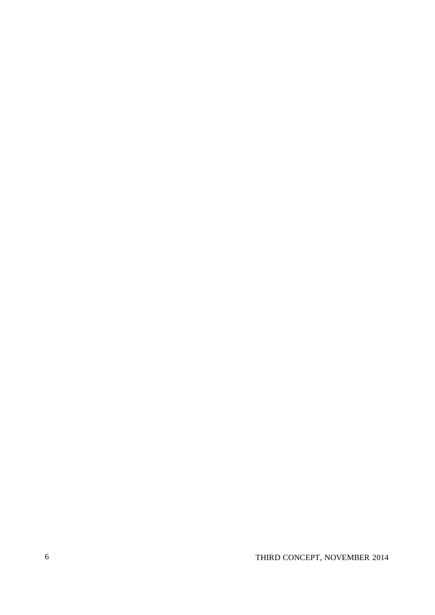THIRD CONCEPT, NOVEMBER 2014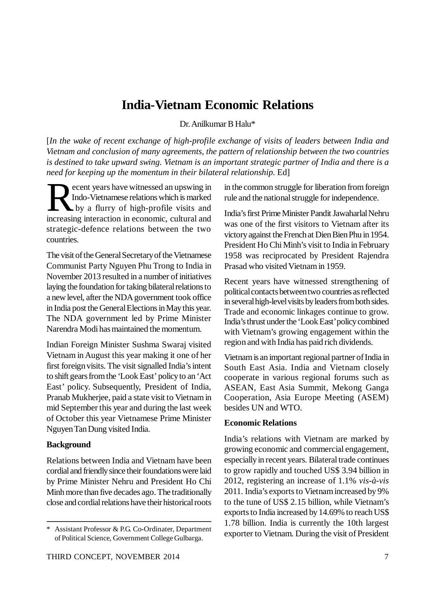## **India-Vietnam Economic Relations**

Dr. Anilkumar B Halu\*

[*In the wake of recent exchange of high-profile exchange of visits of leaders between India and Vietnam and conclusion of many agreements, the pattern of relationship between the two countries is destined to take upward swing. Vietnam is an important strategic partner of India and there is a need for keeping up the momentum in their bilateral relationship.* Ed]

Recent years have witnessed an upswing in<br>
Indo-Vietnamese relations which is marked<br>
by a flurry of high-profile visits and<br>
increasing interaction in economic, cultural and ecent years have witnessed an upswing in Indo-Vietnamese relations which is marked by a flurry of high-profile visits and strategic-defence relations between the two countries.

The visit of the General Secretary of the Vietnamese Communist Party Nguyen Phu Trong to India in November 2013 resulted in a number of initiatives laying the foundation for taking bilateral relations to a new level, after the NDA government took office in India post the General Elections in May this year. The NDA government led by Prime Minister Narendra Modi has maintained the momentum.

Indian Foreign Minister Sushma Swaraj visited Vietnam in August this year making it one of her first foreign visits. The visit signalled India's intent to shift gears from the 'Look East' policy to an 'Act East' policy. Subsequently, President of India, Pranab Mukherjee, paid a state visit to Vietnam in mid September this year and during the last week of October this year Vietnamese Prime Minister Nguyen Tan Dung visited India.

#### **Background**

Relations between India and Vietnam have been cordial and friendly since their foundations were laid by Prime Minister Nehru and President Ho Chi Minh more than five decades ago. The traditionally close and cordial relations have their historical roots

in the common struggle for liberation from foreign rule and the national struggle for independence.

India's first Prime Minister Pandit Jawaharlal Nehru was one of the first visitors to Vietnam after its victory against the French at Dien Bien Phu in 1954. President Ho Chi Minh's visit to India in February 1958 was reciprocated by President Rajendra Prasad who visited Vietnam in 1959.

Recent years have witnessed strengthening of political contacts between two countries as reflected in several high-level visits by leaders from both sides. Trade and economic linkages continue to grow. India's thrust under the 'Look East' policy combined with Vietnam's growing engagement within the region and with India has paid rich dividends.

Vietnam is an important regional partner of India in South East Asia. India and Vietnam closely cooperate in various regional forums such as ASEAN, East Asia Summit, Mekong Ganga Cooperation, Asia Europe Meeting (ASEM) besides UN and WTO.

#### **Economic Relations**

India's relations with Vietnam are marked by growing economic and commercial engagement, especially in recent years. Bilateral trade continues to grow rapidly and touched US\$ 3.94 billion in 2012, registering an increase of 1.1% *vis-à-vis* 2011. India's exports to Vietnam increased by 9% to the tune of US\$ 2.15 billion, while Vietnam's exports to India increased by 14.69% to reach US\$ 1.78 billion. India is currently the 10th largest exporter to Vietnam. During the visit of President

<sup>\*</sup> Assistant Professor & P.G. Co-Ordinater, Department of Political Science, Government College Gulbarga.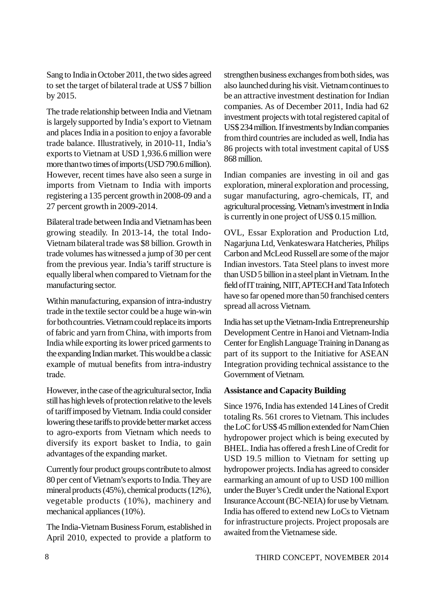Sang to India in October 2011, the two sides agreed to set the target of bilateral trade at US\$ 7 billion by 2015.

The trade relationship between India and Vietnam is largely supported by India's export to Vietnam and places India in a position to enjoy a favorable trade balance. Illustratively, in 2010-11, India's exports to Vietnam at USD 1,936.6 million were more than two times of imports (USD 790.6 million). However, recent times have also seen a surge in imports from Vietnam to India with imports registering a 135 percent growth in 2008-09 and a 27 percent growth in 2009-2014.

Bilateral trade between India and Vietnam has been growing steadily. In 2013-14, the total Indo-Vietnam bilateral trade was \$8 billion. Growth in trade volumes has witnessed a jump of 30 per cent from the previous year. India's tariff structure is equally liberal when compared to Vietnam for the manufacturing sector.

Within manufacturing, expansion of intra-industry trade in the textile sector could be a huge win-win for both countries. Vietnam could replace its imports of fabric and yarn from China, with imports from India while exporting its lower priced garments to the expanding Indian market. This would be a classic example of mutual benefits from intra-industry trade.

However, in the case of the agricultural sector, India still has high levels of protection relative to the levels of tariff imposed by Vietnam. India could consider lowering these tariffs to provide better market access to agro-exports from Vietnam which needs to diversify its export basket to India, to gain advantages of the expanding market.

Currently four product groups contribute to almost 80 per cent of Vietnam's exports to India. They are mineral products (45%), chemical products (12%), vegetable products (10%), machinery and mechanical appliances (10%).

The India-Vietnam Business Forum, established in April 2010, expected to provide a platform to

strengthen business exchanges from both sides, was also launched during his visit. Vietnam continues to be an attractive investment destination for Indian companies. As of December 2011, India had 62 investment projects with total registered capital of US\$ 234 million. If investments by Indian companies from third countries are included as well, India has 86 projects with total investment capital of US\$ 868 million.

Indian companies are investing in oil and gas exploration, mineral exploration and processing, sugar manufacturing, agro-chemicals, IT, and agricultural processing. Vietnam's investment in India is currently in one project of US\$ 0.15 million.

OVL, Essar Exploration and Production Ltd, Nagarjuna Ltd, Venkateswara Hatcheries, Philips Carbon and McLeod Russell are some of the major Indian investors. Tata Steel plans to invest more than USD 5 billion in a steel plant in Vietnam. In the field of IT training, NIIT, APTECH and Tata Infotech have so far opened more than 50 franchised centers spread all across Vietnam.

India has set up the Vietnam-India Entrepreneurship Development Centre in Hanoi and Vietnam-India Center for English Language Training in Danang as part of its support to the Initiative for ASEAN Integration providing technical assistance to the Government of Vietnam.

#### **Assistance and Capacity Building**

Since 1976, India has extended 14 Lines of Credit totaling Rs. 561 crores to Vietnam. This includes the LoC for US\$ 45 million extended for Nam Chien hydropower project which is being executed by BHEL. India has offered a fresh Line of Credit for USD 19.5 million to Vietnam for setting up hydropower projects. India has agreed to consider earmarking an amount of up to USD 100 million under the Buyer's Credit under the National Export Insurance Account (BC-NEIA) for use by Vietnam. India has offered to extend new LoCs to Vietnam for infrastructure projects. Project proposals are awaited from the Vietnamese side.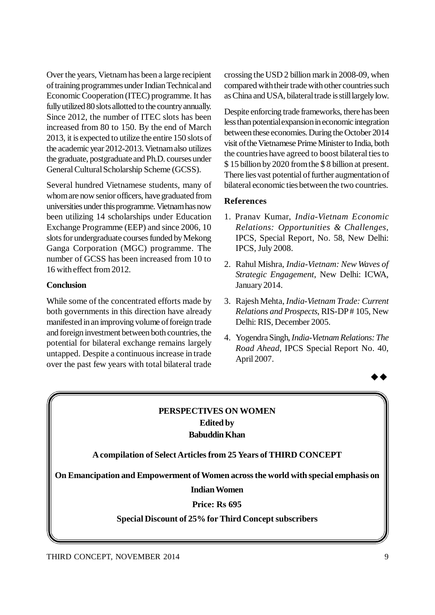Over the years, Vietnam has been a large recipient of training programmes under Indian Technical and Economic Cooperation (ITEC) programme. It has fully utilized 80 slots allotted to the country annually. Since 2012, the number of ITEC slots has been increased from 80 to 150. By the end of March 2013, it is expected to utilize the entire 150 slots of the academic year 2012-2013. Vietnam also utilizes the graduate, postgraduate and Ph.D. courses under General Cultural Scholarship Scheme (GCSS).

Several hundred Vietnamese students, many of whom are now senior officers, have graduated from universities under this programme. Vietnam has now been utilizing 14 scholarships under Education Exchange Programme (EEP) and since 2006, 10 slots for undergraduate courses funded by Mekong Ganga Corporation (MGC) programme. The number of GCSS has been increased from 10 to 16 with effect from 2012.

## **Conclusion**

While some of the concentrated efforts made by both governments in this direction have already manifested in an improving volume of foreign trade and foreign investment between both countries, the potential for bilateral exchange remains largely untapped. Despite a continuous increase in trade over the past few years with total bilateral trade crossing the USD 2 billion mark in 2008-09, when compared with their trade with other countries such as China and USA, bilateral trade is still largely low.

Despite enforcing trade frameworks, there has been less than potential expansion in economic integration between these economies. During the October 2014 visit of the Vietnamese Prime Minister to India, both the countries have agreed to boost bilateral ties to \$ 15 billion by 2020 from the \$ 8 billion at present. There lies vast potential of further augmentation of bilateral economic ties between the two countries.

## **References**

- 1. Pranav Kumar, *India-Vietnam Economic Relations: Opportunities & Challenges*, IPCS, Special Report, No. 58, New Delhi: IPCS, July 2008.
- 2. Rahul Mishra, *India-Vietnam: New Waves of Strategic Engagement*, New Delhi: ICWA, January 2014.
- 3. Rajesh Mehta, *India-Vietnam Trade: Current Relations and Prospects*, RIS-DP # 105, New Delhi: RIS, December 2005.
- 4. Yogendra Singh, *India-Vietnam Relations: The Road Ahead*, IPCS Special Report No. 40, April 2007.

## **PERSPECTIVES ON WOMEN Edited by Babuddin Khan**

**A compilation of Select Articles from 25 Years of THIRD CONCEPT**

**On Emancipation and Empowerment of Women across the world with special emphasis on**

**Indian Women**

**Price: Rs 695**

**Special Discount of 25% for Third Concept subscribers**

 $\rightarrow \rightarrow$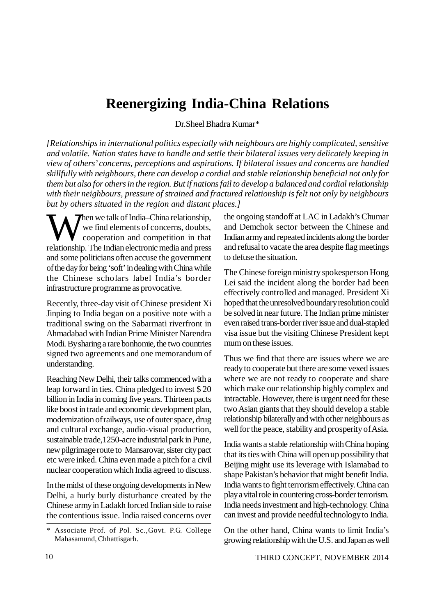## **Reenergizing India-China Relations**

Dr.Sheel Bhadra Kumar\*

*[Relationships in international politics especially with neighbours are highly complicated, sensitive and volatile. Nation states have to handle and settle their bilateral issues very delicately keeping in view of others' concerns, perceptions and aspirations. If bilateral issues and concerns are handled skillfully with neighbours, there can develop a cordial and stable relationship beneficial not only for them but also for others in the region. But if nations fail to develop a balanced and cordial relationship with their neighbours, pressure of strained and fractured relationship is felt not only by neighbours but by others situated in the region and distant places.]*

When we talk of India–China relationship,<br>we find elements of concerns, doubts,<br>cooperation and competition in that<br>relationship. The Indian electronic media and press Then we talk of India–China relationship, we find elements of concerns, doubts, cooperation and competition in that and some politicians often accuse the government of the day for being 'soft' in dealing with China while the Chinese scholars label India's border infrastructure programme as provocative.

Recently, three-day visit of Chinese president Xi Jinping to India began on a positive note with a traditional swing on the Sabarmati riverfront in Ahmadabad with Indian Prime Minister Narendra Modi. By sharing a rare bonhomie, the two countries signed two agreements and one memorandum of understanding.

Reaching New Delhi, their talks commenced with a leap forward in ties. China pledged to invest \$ 20 billion in India in coming five years. Thirteen pacts like boost in trade and economic development plan, modernization of railways, use of outer space, drug and cultural exchange, audio-visual production, sustainable trade,1250-acre industrial park in Pune, new pilgrimage route to Mansarovar, sister city pact etc were inked. China even made a pitch for a civil nuclear cooperation which India agreed to discuss.

In the midst of these ongoing developments in New Delhi, a hurly burly disturbance created by the Chinese army in Ladakh forced Indian side to raise the contentious issue. India raised concerns over the ongoing standoff at LAC in Ladakh's Chumar and Demchok sector between the Chinese and Indian army and repeated incidents along the border and refusal to vacate the area despite flag meetings to defuse the situation.

The Chinese foreign ministry spokesperson Hong Lei said the incident along the border had been effectively controlled and managed. President Xi hoped that the unresolved boundary resolution could be solved in near future. The Indian prime minister even raised trans-border river issue and dual-stapled visa issue but the visiting Chinese President kept mum on these issues.

Thus we find that there are issues where we are ready to cooperate but there are some vexed issues where we are not ready to cooperate and share which make our relationship highly complex and intractable. However, there is urgent need for these two Asian giants that they should develop a stable relationship bilaterally and with other neighbours as well for the peace, stability and prosperity of Asia.

India wants a stable relationship with China hoping that its ties with China will open up possibility that Beijing might use its leverage with Islamabad to shape Pakistan's behavior that might benefit India. India wants to fight terrorism effectively. China can play a vital role in countering cross-border terrorism. India needs investment and high-technology. China can invest and provide needful technology to India.

On the other hand, China wants to limit India's growing relationship with the U.S. and Japan as well

Associate Prof. of Pol. Sc.,Govt. P.G. College Mahasamund, Chhattisgarh.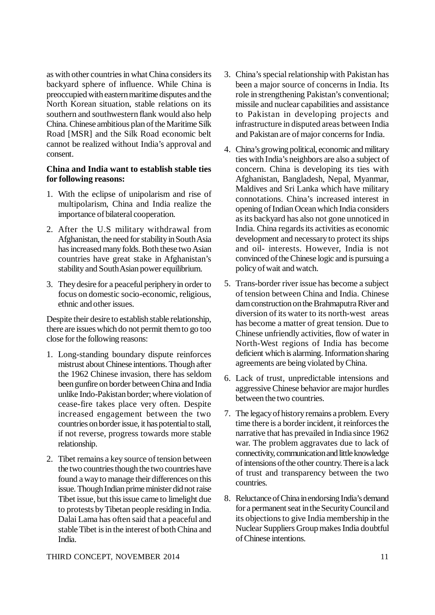as with other countries in what China considers its backyard sphere of influence. While China is preoccupied with eastern maritime disputes and the North Korean situation, stable relations on its southern and southwestern flank would also help China. Chinese ambitious plan of the Maritime Silk Road [MSR] and the Silk Road economic belt cannot be realized without India's approval and consent.

#### **China and India want to establish stable ties for following reasons:**

- 1. With the eclipse of unipolarism and rise of multipolarism, China and India realize the importance of bilateral cooperation.
- 2. After the U.S military withdrawal from Afghanistan, the need for stability in South Asia has increased many folds. Both these two Asian countries have great stake in Afghanistan's stability and South Asian power equilibrium.
- 3. They desire for a peaceful periphery in order to focus on domestic socio-economic, religious, ethnic and other issues.

Despite their desire to establish stable relationship, there are issues which do not permit them to go too close for the following reasons:

- 1. Long-standing boundary dispute reinforces mistrust about Chinese intentions. Though after the 1962 Chinese invasion, there has seldom been gunfire on border between China and India unlike Indo-Pakistan border; where violation of cease-fire takes place very often. Despite increased engagement between the two countries on border issue, it has potential to stall, if not reverse, progress towards more stable relationship.
- 2. Tibet remains a key source of tension between the two countries though the two countries have found a way to manage their differences on this issue. Though Indian prime minister did not raise Tibet issue, but this issue came to limelight due to protests by Tibetan people residing in India. Dalai Lama has often said that a peaceful and stable Tibet is in the interest of both China and India.
- 3. China's special relationship with Pakistan has been a major source of concerns in India. Its role in strengthening Pakistan's conventional; missile and nuclear capabilities and assistance to Pakistan in developing projects and infrastructure in disputed areas between India and Pakistan are of major concerns for India.
- 4. China's growing political, economic and military ties with India's neighbors are also a subject of concern. China is developing its ties with Afghanistan, Bangladesh, Nepal, Myanmar, Maldives and Sri Lanka which have military connotations. China's increased interest in opening of Indian Ocean which India considers as its backyard has also not gone unnoticed in India. China regards its activities as economic development and necessary to protect its ships and oil- interests. However, India is not convinced of the Chinese logic and is pursuing a policy of wait and watch.
- 5. Trans-border river issue has become a subject of tension between China and India. Chinese dam construction on the Brahmaputra River and diversion of its water to its north-west areas has become a matter of great tension. Due to Chinese unfriendly activities, flow of water in North-West regions of India has become deficient which is alarming. Information sharing agreements are being violated by China.
- 6. Lack of trust, unpredictable intensions and aggressive Chinese behavior are major hurdles between the two countries.
- 7. The legacy of history remains a problem. Every time there is a border incident, it reinforces the narrative that has prevailed in India since 1962 war. The problem aggravates due to lack of connectivity, communication and little knowledge of intensions of the other country. There is a lack of trust and transparency between the two countries.
- 8. Reluctance of China in endorsing India's demand for a permanent seat in the Security Council and its objections to give India membership in the Nuclear Suppliers Group makes India doubtful of Chinese intentions.

#### THIRD CONCEPT, NOVEMBER 2014 11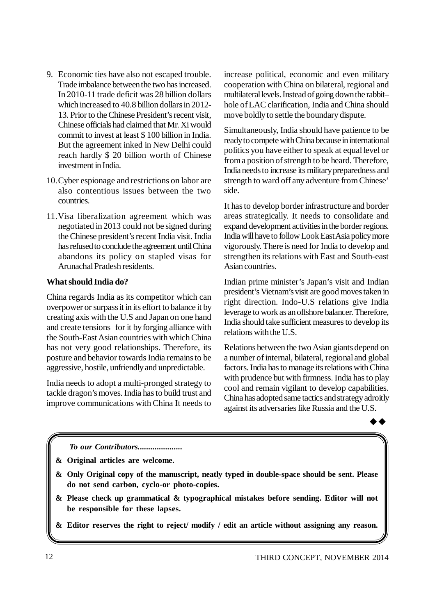- 9. Economic ties have also not escaped trouble. Trade imbalance between the two has increased. In 2010-11 trade deficit was 28 billion dollars which increased to 40.8 billion dollars in 2012- 13. Prior to the Chinese President's recent visit, Chinese officials had claimed that Mr. Xi would commit to invest at least \$ 100 billion in India. But the agreement inked in New Delhi could reach hardly \$ 20 billion worth of Chinese investment in India.
- 10.Cyber espionage and restrictions on labor are also contentious issues between the two countries.
- 11.Visa liberalization agreement which was negotiated in 2013 could not be signed during the Chinese president's recent India visit. India has refused to conclude the agreement until China abandons its policy on stapled visas for Arunachal Pradesh residents.

## **What should India do?**

China regards India as its competitor which can overpower or surpass it in its effort to balance it by creating axis with the U.S and Japan on one hand and create tensions for it by forging alliance with the South-East Asian countries with which China has not very good relationships. Therefore, its posture and behavior towards India remains to be aggressive, hostile, unfriendly and unpredictable.

India needs to adopt a multi-pronged strategy to tackle dragon's moves. India has to build trust and improve communications with China It needs to

increase political, economic and even military cooperation with China on bilateral, regional and multilateral levels. Instead of going down the rabbit– hole of LAC clarification, India and China should move boldly to settle the boundary dispute.

Simultaneously, India should have patience to be ready to compete with China because in international politics you have either to speak at equal level or from a position of strength to be heard. Therefore, India needs to increase its military preparedness and strength to ward off any adventure from Chinese' side.

It has to develop border infrastructure and border areas strategically. It needs to consolidate and expand development activities in the border regions. India will have to follow Look East Asia policy more vigorously. There is need for India to develop and strengthen its relations with East and South-east Asian countries.

Indian prime minister's Japan's visit and Indian president's Vietnam's visit are good moves taken in right direction. Indo-U.S relations give India leverage to work as an offshore balancer. Therefore, India should take sufficient measures to develop its relations with the U.S.

Relations between the two Asian giants depend on a number of internal, bilateral, regional and global factors. India has to manage its relations with China with prudence but with firmness. India has to play cool and remain vigilant to develop capabilities. China has adopted same tactics and strategy adroitly against its adversaries like Russia and the U.S.



- *To our Contributors.....................*
- **& Original articles are welcome.**
- **& Only Original copy of the manuscript, neatly typed in double-space should be sent. Please do not send carbon, cyclo-or photo-copies.**
- **& Please check up grammatical & typographical mistakes before sending. Editor will not be responsible for these lapses.**
- **& Editor reserves the right to reject/ modify / edit an article without assigning any reason.**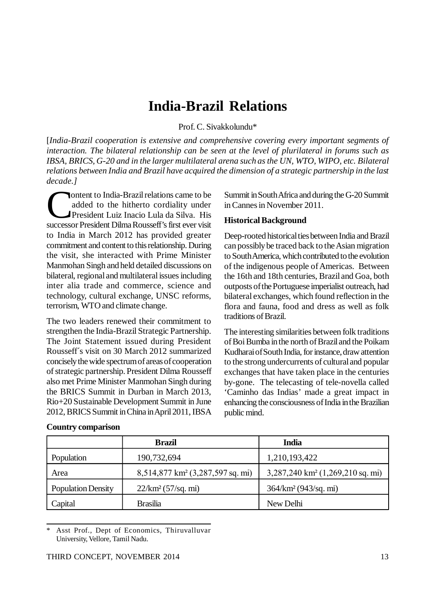## **India-Brazil Relations**

#### Prof. C. Sivakkolundu\*

[*India-Brazil cooperation is extensive and comprehensive covering every important segments of interaction. The bilateral relationship can be seen at the level of plurilateral in forums such as IBSA, BRICS, G-20 and in the larger multilateral arena such as the UN, WTO, WIPO, etc. Bilateral relations between India and Brazil have acquired the dimension of a strategic partnership in the last decade.]*

Ontent to India-Brazil relations came to be<br>added to the hitherto cordiality under<br>President Luiz Inacio Lula da Silva. His<br>successor President Dilma Rousseff's first ever visit ontent to India-Brazil relations came to be added to the hitherto cordiality under President Luiz Inacio Lula da Silva. His to India in March 2012 has provided greater commitment and content to this relationship. During the visit, she interacted with Prime Minister Manmohan Singh and held detailed discussions on bilateral, regional and multilateral issues including inter alia trade and commerce, science and technology, cultural exchange, UNSC reforms, terrorism, WTO and climate change.

The two leaders renewed their commitment to strengthen the India-Brazil Strategic Partnership. The Joint Statement issued during President Rousseff´s visit on 30 March 2012 summarized concisely the wide spectrum of areas of cooperation of strategic partnership. President Dilma Rousseff also met Prime Minister Manmohan Singh during the BRICS Summit in Durban in March 2013, Rio+20 Sustainable Development Summit in June 2012, BRICS Summit in China in April 2011, IBSA

Summit in South Africa and during the G-20 Summit in Cannes in November 2011.

#### **Historical Background**

Deep-rooted historical ties between India and Brazil can possibly be traced back to the Asian migration to South America, which contributed to the evolution of the indigenous people of Americas. Between the 16th and 18th centuries, Brazil and Goa, both outposts of the Portuguese imperialist outreach, had bilateral exchanges, which found reflection in the flora and fauna, food and dress as well as folk traditions of Brazil.

The interesting similarities between folk traditions of Boi Bumba in the north of Brazil and the Poikam Kudharai of South India, for instance, draw attention to the strong undercurrents of cultural and popular exchanges that have taken place in the centuries by-gone. The telecasting of tele-novella called 'Caminho das Indias' made a great impact in enhancing the consciousness of India in the Brazilian public mind.

| Brazil                    |                                              | <b>India</b>                                 |
|---------------------------|----------------------------------------------|----------------------------------------------|
| Population                | 190,732,694                                  | 1,210,193,422                                |
| Area                      | 8,514,877 km <sup>2</sup> (3,287,597 sq. mi) | 3,287,240 km <sup>2</sup> (1,269,210 sq. mi) |
| <b>Population Density</b> | $22/\text{km}^2 (57/\text{sq. mi})$          | 364/km <sup>2</sup> (943/sq. mi)             |
| Capital                   | <b>Brasilia</b>                              | New Delhi                                    |

| <b>Country comparison</b> |
|---------------------------|
|                           |

Asst Prof., Dept of Economics, Thiruvalluvar University, Vellore, Tamil Nadu.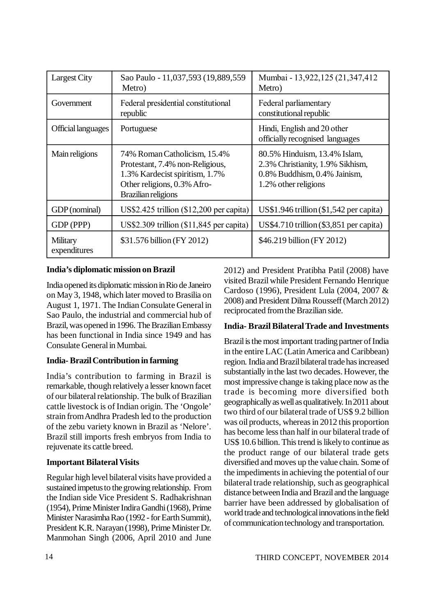| <b>Largest City</b>      | Sao Paulo - 11,037,593 (19,889,559)<br>Metro)                                                                                                           | Mumbai - 13,922,125 (21,347,412)<br>Metro)                                                                               |
|--------------------------|---------------------------------------------------------------------------------------------------------------------------------------------------------|--------------------------------------------------------------------------------------------------------------------------|
| Government               | Federal presidential constitutional<br>republic                                                                                                         | Federal parliamentary<br>constitutional republic                                                                         |
| Official languages       | Portuguese                                                                                                                                              | Hindi, English and 20 other<br>officially recognised languages                                                           |
| Main religions           | 74% Roman Catholicism, 15.4%<br>Protestant, 7.4% non-Religious,<br>1.3% Kardecist spiritism, 1.7%<br>Other religions, 0.3% Afro-<br>Brazilian religions | 80.5% Hinduism, 13.4% Islam,<br>2.3% Christianity, 1.9% Sikhism,<br>0.8% Buddhism, 0.4% Jainism,<br>1.2% other religions |
| GDP (nominal)            | US\$2.425 trillion $(\$12,200$ per capita)                                                                                                              | US\$1.946 trillion $(\$1,542$ per capita)                                                                                |
| GDP (PPP)                | US\$2.309 trillion $(\$11,845$ per capita)                                                                                                              | US\$4.710 trillion (\$3,851 per capita)                                                                                  |
| Military<br>expenditures | \$31.576 billion (FY 2012)                                                                                                                              | \$46.219 billion (FY 2012)                                                                                               |

## **India's diplomatic mission on Brazil**

India opened its diplomatic mission in Rio de Janeiro on May 3, 1948, which later moved to Brasilia on August 1, 1971. The Indian Consulate General in Sao Paulo, the industrial and commercial hub of Brazil, was opened in 1996. The Brazilian Embassy has been functional in India since 1949 and has Consulate General in Mumbai.

## **India- Brazil Contribution in farming**

India's contribution to farming in Brazil is remarkable, though relatively a lesser known facet of our bilateral relationship. The bulk of Brazilian cattle livestock is of Indian origin. The 'Ongole' strain from Andhra Pradesh led to the production of the zebu variety known in Brazil as 'Nelore'. Brazil still imports fresh embryos from India to rejuvenate its cattle breed.

## **Important Bilateral Visits**

Regular high level bilateral visits have provided a sustained impetus to the growing relationship. From the Indian side Vice President S. Radhakrishnan (1954), Prime Minister Indira Gandhi (1968), Prime Minister Narasimha Rao (1992 - for Earth Summit), President K.R. Narayan (1998), Prime Minister Dr. Manmohan Singh (2006, April 2010 and June

2012) and President Pratibha Patil (2008) have visited Brazil while President Fernando Henrique Cardoso (1996), President Lula (2004, 2007 & 2008) and President Dilma Rousseff (March 2012) reciprocated from the Brazilian side.

## **India- Brazil Bilateral Trade and Investments**

Brazil is the most important trading partner of India in the entire LAC (Latin America and Caribbean) region. India and Brazil bilateral trade has increased substantially in the last two decades. However, the most impressive change is taking place now as the trade is becoming more diversified both geographically as well as qualitatively. In 2011 about two third of our bilateral trade of US\$ 9.2 billion was oil products, whereas in 2012 this proportion has become less than half in our bilateral trade of US\$ 10.6 billion. This trend is likely to continue as the product range of our bilateral trade gets diversified and moves up the value chain. Some of the impediments in achieving the potential of our bilateral trade relationship, such as geographical distance between India and Brazil and the language barrier have been addressed by globalisation of world trade and technological innovations in the field of communication technology and transportation.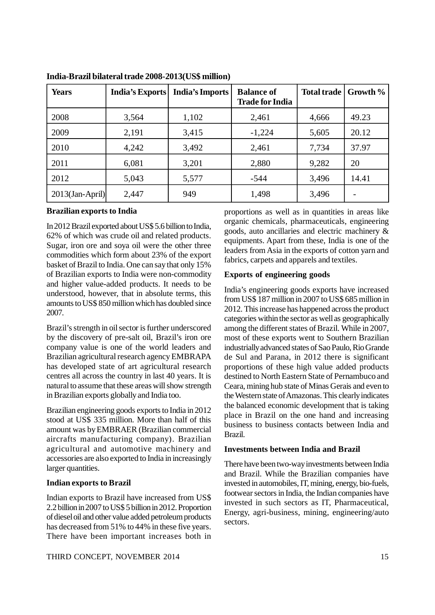| <b>Years</b>       | India's Exports | <b>India's Imports</b> | <b>Balance of</b><br><b>Trade for India</b> | Total trade | Growth $\%$ |
|--------------------|-----------------|------------------------|---------------------------------------------|-------------|-------------|
| 2008               | 3,564           | 1,102                  | 2,461                                       | 4,666       | 49.23       |
| 2009               | 2,191           | 3,415                  | $-1,224$                                    | 5,605       | 20.12       |
| 2010               | 4,242           | 3,492                  | 2,461                                       | 7,734       | 37.97       |
| 2011               | 6,081           | 3,201                  | 2,880                                       | 9,282       | 20          |
| 2012               | 5,043           | 5,577                  | $-544$                                      | 3,496       | 14.41       |
| $2013$ (Jan-April) | 2,447           | 949                    | 1,498                                       | 3,496       |             |

**India-Brazil bilateral trade 2008-2013(US\$ million)**

#### **Brazilian exports to India**

In 2012 Brazil exported about US\$ 5.6 billion to India, 62% of which was crude oil and related products. Sugar, iron ore and soya oil were the other three commodities which form about 23% of the export basket of Brazil to India. One can say that only 15% of Brazilian exports to India were non-commodity and higher value-added products. It needs to be understood, however, that in absolute terms, this amounts to US\$ 850 million which has doubled since 2007.

Brazil's strength in oil sector is further underscored by the discovery of pre-salt oil, Brazil's iron ore company value is one of the world leaders and Brazilian agricultural research agency EMBRAPA has developed state of art agricultural research centres all across the country in last 40 years. It is natural to assume that these areas will show strength in Brazilian exports globally and India too.

Brazilian engineering goods exports to India in 2012 stood at US\$ 335 million. More than half of this amount was by EMBRAER (Brazilian commercial aircrafts manufacturing company). Brazilian agricultural and automotive machinery and accessories are also exported to India in increasingly larger quantities.

#### **Indian exports to Brazil**

Indian exports to Brazil have increased from US\$ 2.2 billion in 2007 to US\$ 5 billion in 2012. Proportion of diesel oil and other value added petroleum products has decreased from 51% to 44% in these five years. There have been important increases both in

proportions as well as in quantities in areas like organic chemicals, pharmaceuticals, engineering goods, auto ancillaries and electric machinery & equipments. Apart from these, India is one of the leaders from Asia in the exports of cotton yarn and fabrics, carpets and apparels and textiles.

#### **Exports of engineering goods**

India's engineering goods exports have increased from US\$ 187 million in 2007 to US\$ 685 million in 2012. This increase has happened across the product categories within the sector as well as geographically among the different states of Brazil. While in 2007, most of these exports went to Southern Brazilian industrially advanced states of Sao Paulo, Rio Grande de Sul and Parana, in 2012 there is significant proportions of these high value added products destined to North Eastern State of Pernambuco and Ceara, mining hub state of Minas Gerais and even to the Western state of Amazonas. This clearly indicates the balanced economic development that is taking place in Brazil on the one hand and increasing business to business contacts between India and Brazil.

#### **Investments between India and Brazil**

There have been two-way investments between India and Brazil. While the Brazilian companies have invested in automobiles, IT, mining, energy, bio-fuels, footwear sectors in India, the Indian companies have invested in such sectors as IT, Pharmaceutical, Energy, agri-business, mining, engineering/auto sectors.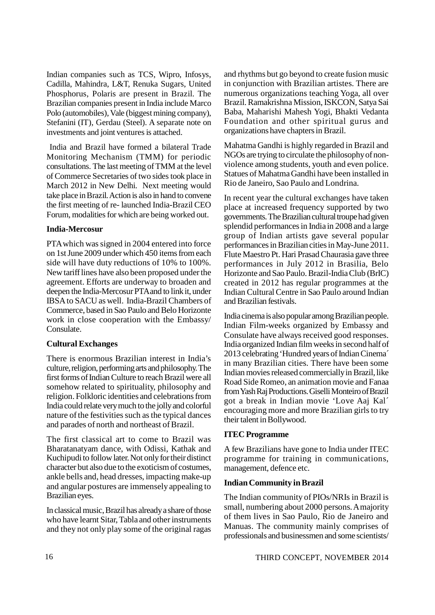Indian companies such as TCS, Wipro, Infosys, Cadilla, Mahindra, L&T, Renuka Sugars, United Phosphorus, Polaris are present in Brazil. The Brazilian companies present in India include Marco Polo (automobiles), Vale (biggest mining company), Stefanini (IT), Gerdau (Steel). A separate note on investments and joint ventures is attached.

 India and Brazil have formed a bilateral Trade Monitoring Mechanism (TMM) for periodic consultations. The last meeting of TMM at the level of Commerce Secretaries of two sides took place in March 2012 in New Delhi. Next meeting would take place in Brazil. Action is also in hand to convene the first meeting of re- launched India-Brazil CEO Forum, modalities for which are being worked out.

#### **India-Mercosur**

PTA which was signed in 2004 entered into force on 1st June 2009 under which 450 items from each side will have duty reductions of 10% to 100%. New tariff lines have also been proposed under the agreement. Efforts are underway to broaden and deepen the India-Mercosur PTA and to link it, under IBSA to SACU as well. India-Brazil Chambers of Commerce, based in Sao Paulo and Belo Horizonte work in close cooperation with the Embassy/ Consulate.

#### **Cultural Exchanges**

There is enormous Brazilian interest in India's culture, religion, performing arts and philosophy. The first forms of Indian Culture to reach Brazil were all somehow related to spirituality, philosophy and religion. Folkloric identities and celebrations from India could relate very much to the jolly and colorful nature of the festivities such as the typical dances and parades of north and northeast of Brazil.

The first classical art to come to Brazil was Bharatanatyam dance, with Odissi, Kathak and Kuchipudi to follow later. Not only for their distinct character but also due to the exoticism of costumes, ankle bells and, head dresses, impacting make-up and angular postures are immensely appealing to Brazilian eyes.

In classical music, Brazil has already a share of those who have learnt Sitar, Tabla and other instruments and they not only play some of the original ragas and rhythms but go beyond to create fusion music in conjunction with Brazilian artistes. There are numerous organizations teaching Yoga, all over Brazil. Ramakrishna Mission, ISKCON, Satya Sai Baba, Maharishi Mahesh Yogi, Bhakti Vedanta Foundation and other spiritual gurus and organizations have chapters in Brazil.

Mahatma Gandhi is highly regarded in Brazil and NGOs are trying to circulate the philosophy of nonviolence among students, youth and even police. Statues of Mahatma Gandhi have been installed in Rio de Janeiro, Sao Paulo and Londrina.

In recent year the cultural exchanges have taken place at increased frequency supported by two governments. The Brazilian cultural troupe had given splendid performances in India in 2008 and a large group of Indian artists gave several popular performances in Brazilian cities in May-June 2011. Flute Maestro Pt. Hari Prasad Chaurasia gave three performances in July 2012 in Brasilia, Belo Horizonte and Sao Paulo. Brazil-India Club (BrIC) created in 2012 has regular programmes at the Indian Cultural Centre in Sao Paulo around Indian and Brazilian festivals.

India cinema is also popular among Brazilian people. Indian Film-weeks organized by Embassy and Consulate have always received good responses. India organized Indian film weeks in second half of 2013 celebrating 'Hundred years of Indian Cinema´ in many Brazilian cities. There have been some Indian movies released commercially in Brazil, like Road Side Romeo, an animation movie and Fanaa from Yash Raj Productions. Giselli Monteiro of Brazil got a break in Indian movie 'Love Aaj Kal´ encouraging more and more Brazilian girls to try their talent in Bollywood.

#### **ITEC Programme**

A few Brazilians have gone to India under ITEC programme for training in communications, management, defence etc.

#### **Indian Community in Brazil**

The Indian community of PIOs/NRIs in Brazil is small, numbering about 2000 persons. A majority of them lives in Sao Paulo, Rio de Janeiro and Manuas. The community mainly comprises of professionals and businessmen and some scientists/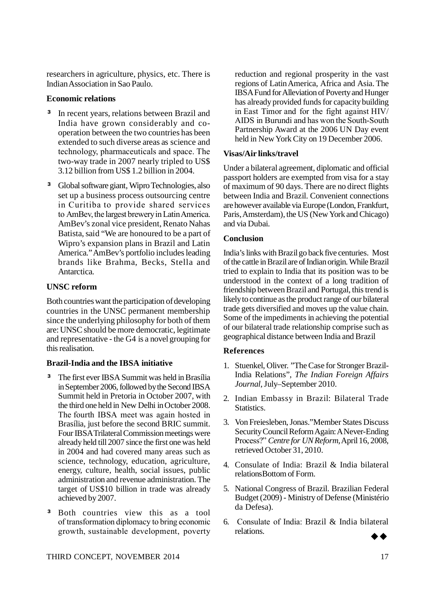researchers in agriculture, physics, etc. There is Indian Association in Sao Paulo.

#### **Economic relations**

- <sup>3</sup> In recent years, relations between Brazil and India have grown considerably and cooperation between the two countries has been extended to such diverse areas as science and technology, pharmaceuticals and space. The two-way trade in 2007 nearly tripled to US\$ 3.12 billion from US\$ 1.2 billion in 2004.
- **³** Global software giant, Wipro Technologies, also set up a business process outsourcing centre in Curitiba to provide shared services to AmBev, the largest brewery in Latin America. AmBev's zonal vice president, Renato Nahas Batista, said "We are honoured to be a part of Wipro's expansion plans in Brazil and Latin America." AmBev's portfolio includes leading brands like Brahma, Becks, Stella and Antarctica.

## **UNSC reform**

Both countries want the participation of developing countries in the UNSC permanent membership since the underlying philosophy for both of them are: UNSC should be more democratic, legitimate and representative - the G4 is a novel grouping for this realisation.

#### **Brazil-India and the IBSA initiative**

- **³** The first ever IBSA Summit was held in Brasília in September 2006, followed by the Second IBSA Summit held in Pretoria in October 2007, with the third one held in New Delhi in October 2008. The fourth IBSA meet was again hosted in Brasília, just before the second BRIC summit. Four IBSA Trilateral Commission meetings were already held till 2007 since the first one was held in 2004 and had covered many areas such as science, technology, education, agriculture, energy, culture, health, social issues, public administration and revenue administration. The target of US\$10 billion in trade was already achieved by 2007.
- **³** Both countries view this as a tool of transformation diplomacy to bring economic growth, sustainable development, poverty

reduction and regional prosperity in the vast regions of Latin America, Africa and Asia. The IBSA Fund for Alleviation of Poverty and Hunger has already provided funds for capacity building in East Timor and for the fight against HIV/ AIDS in Burundi and has won the South-South Partnership Award at the 2006 UN Day event held in New York City on 19 December 2006.

### **Visas/Air links/travel**

Under a bilateral agreement, diplomatic and official passport holders are exempted from visa for a stay of maximum of 90 days. There are no direct flights between India and Brazil. Convenient connections are however available via Europe (London, Frankfurt, Paris, Amsterdam), the US (New York and Chicago) and via Dubai.

#### **Conclusion**

India's links with Brazil go back five centuries. Most of the cattle in Brazil are of Indian origin. While Brazil tried to explain to India that its position was to be understood in the context of a long tradition of friendship between Brazil and Portugal, this trend is likely to continue as the product range of our bilateral trade gets diversified and moves up the value chain. Some of the impediments in achieving the potential of our bilateral trade relationship comprise such as geographical distance between India and Brazil

#### **References**

- 1. Stuenkel, Oliver. "The Case for Stronger Brazil-India Relations", *The Indian Foreign Affairs Journal*, July–September 2010.
- 2. Indian Embassy in Brazil: Bilateral Trade Statistics.
- 3. Von Freiesleben, Jonas."Member States Discuss Security Council Reform Again: A Never-Ending Process?" *Centre for UN Reform*, April 16, 2008, retrieved October 31, 2010.
- 4. Consulate of India: Brazil & India bilateral relationsBottom of Form.
- 5. National Congress of Brazil. Brazilian Federal Budget (2009) - Ministry of Defense (Ministério da Defesa).
- 6. Consulate of India: Brazil & India bilateral relations.  $\blacklozenge \blacklozenge$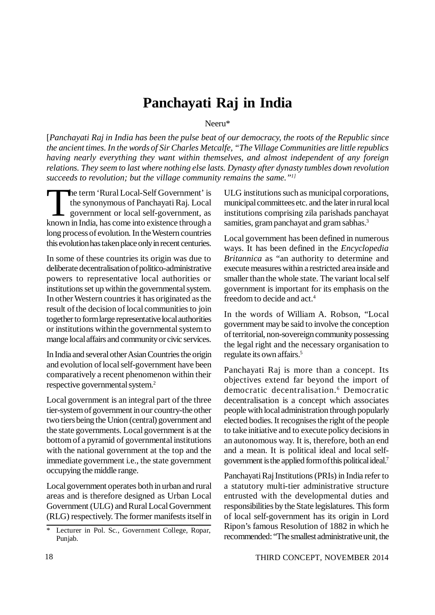## **Panchayati Raj in India**

Neeru\*

[*Panchayati Raj in India has been the pulse beat of our democracy, the roots of the Republic since the ancient times. In the words of Sir Charles Metcalfe, "The Village Communities are little republics having nearly everything they want within themselves, and almost independent of any foreign relations. They seem to last where nothing else lasts. Dynasty after dynasty tumbles down revolution succeeds to revolution; but the village community remains the same."1]*

The term 'Rural Local-Self Government' is<br>the synonymous of Panchayati Raj. Local<br>government or local self-government, as<br>known in India, has come into existence through a he term 'Rural Local-Self Government' is the synonymous of Panchayati Raj. Local government or local self-government, as long process of evolution. In the Western countries this evolution has taken place only in recent centuries.

In some of these countries its origin was due to deliberate decentralisation of politico-administrative powers to representative local authorities or institutions set up within the governmental system. In other Western countries it has originated as the result of the decision of local communities to join together to form large representative local authorities or institutions within the governmental system to mange local affairs and community or civic services.

In India and several other Asian Countries the origin and evolution of local self-government have been comparatively a recent phenomenon within their respective governmental system.<sup>2</sup>

Local government is an integral part of the three tier-system of government in our country-the other two tiers being the Union (central) government and the state governments. Local government is at the bottom of a pyramid of governmental institutions with the national government at the top and the immediate government i.e., the state government occupying the middle range.

Local government operates both in urban and rural areas and is therefore designed as Urban Local Government (ULG) and Rural Local Government (RLG) respectively. The former manifests itself in ULG institutions such as municipal corporations, municipal committees etc. and the later in rural local institutions comprising zila parishads panchayat samities, gram panchayat and gram sabhas.<sup>3</sup>

Local government has been defined in numerous ways. It has been defined in the *Encyclopedia Britannica* as "an authority to determine and execute measures within a restricted area inside and smaller than the whole state. The variant local self government is important for its emphasis on the freedom to decide and act.<sup>4</sup>

In the words of William A. Robson, "Local government may be said to involve the conception of territorial, non-sovereign community possessing the legal right and the necessary organisation to regulate its own affairs.<sup>5</sup>

Panchayati Raj is more than a concept. Its objectives extend far beyond the import of democratic decentralisation.<sup>6</sup> Democratic decentralisation is a concept which associates people with local administration through popularly elected bodies. It recognises the right of the people to take initiative and to execute policy decisions in an autonomous way. It is, therefore, both an end and a mean. It is political ideal and local selfgovernment is the applied form of this political ideal.<sup>7</sup>

Panchayati Raj Institutions (PRIs) in India refer to a statutory multi-tier administrative structure entrusted with the developmental duties and responsibilities by the State legislatures. This form of local self-government has its origin in Lord Ripon's famous Resolution of 1882 in which he recommended: "The smallest administrative unit, the

Lecturer in Pol. Sc., Government College, Ropar, Punjab.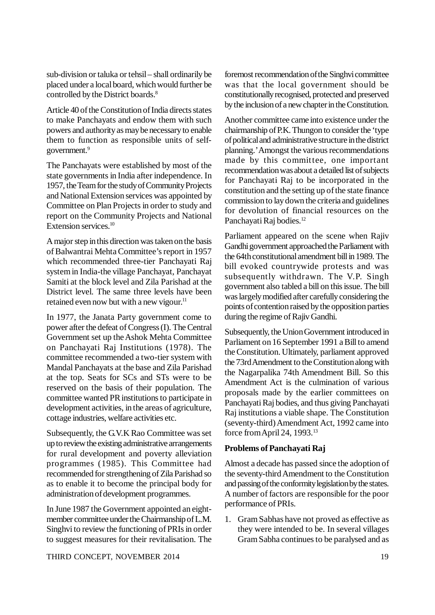sub-division or taluka or tehsil – shall ordinarily be placed under a local board, which would further be controlled by the District boards.<sup>8</sup>

Article 40 of the Constitution of India directs states to make Panchayats and endow them with such powers and authority as may be necessary to enable them to function as responsible units of selfgovernment.<sup>9</sup>

The Panchayats were established by most of the state governments in India after independence. In 1957, the Team for the study of Community Projects and National Extension services was appointed by Committee on Plan Projects in order to study and report on the Community Projects and National Extension services.<sup>10</sup>

A major step in this direction was taken on the basis of Balwantrai Mehta Committee's report in 1957 which recommended three-tier Panchayati Raj system in India-the village Panchayat, Panchayat Samiti at the block level and Zila Parishad at the District level. The same three levels have been retained even now but with a new vigour.<sup>11</sup>

In 1977, the Janata Party government come to power after the defeat of Congress (I). The Central Government set up the Ashok Mehta Committee on Panchayati Raj Institutions (1978). The committee recommended a two-tier system with Mandal Panchayats at the base and Zila Parishad at the top. Seats for SCs and STs were to be reserved on the basis of their population. The committee wanted PR institutions to participate in development activities, in the areas of agriculture, cottage industries, welfare activities etc.

Subsequently, the G.V.K Rao Committee was set up to review the existing administrative arrangements for rural development and poverty alleviation programmes (1985). This Committee had recommended for strengthening of Zila Parishad so as to enable it to become the principal body for administration of development programmes.

In June 1987 the Government appointed an eightmember committee under the Chairmanship of L.M. Singhvi to review the functioning of PRIs in order to suggest measures for their revitalisation. The

THIRD CONCEPT, NOVEMBER 2014 19

foremost recommendation of the Singhvi committee was that the local government should be constitutionally recognised, protected and preserved by the inclusion of a new chapter in the Constitution.

Another committee came into existence under the chairmanship of P.K. Thungon to consider the 'type of political and administrative structure in the district planning.' Amongst the various recommendations made by this committee, one important recommendation was about a detailed list of subjects for Panchayati Raj to be incorporated in the constitution and the setting up of the state finance commission to lay down the criteria and guidelines for devolution of financial resources on the Panchayati Raj bodies.<sup>12</sup>

Parliament appeared on the scene when Rajiv Gandhi government approached the Parliament with the 64th constitutional amendment bill in 1989. The bill evoked countrywide protests and was subsequently withdrawn. The V.P. Singh government also tabled a bill on this issue. The bill was largely modified after carefully considering the points of contention raised by the opposition parties during the regime of Rajiv Gandhi.

Subsequently, the Union Government introduced in Parliament on 16 September 1991 a Bill to amend the Constitution. Ultimately, parliament approved the 73rd Amendment to the Constitution along with the Nagarpalika 74th Amendment Bill. So this Amendment Act is the culmination of various proposals made by the earlier committees on Panchayati Raj bodies, and thus giving Panchayati Raj institutions a viable shape. The Constitution (seventy-third) Amendment Act, 1992 came into force from April 24, 1993.<sup>13</sup>

#### **Problems of Panchayati Raj**

Almost a decade has passed since the adoption of the seventy-third Amendment to the Constitution and passing of the conformity legislation by the states. A number of factors are responsible for the poor performance of PRIs.

1. Gram Sabhas have not proved as effective as they were intended to be. In several villages Gram Sabha continues to be paralysed and as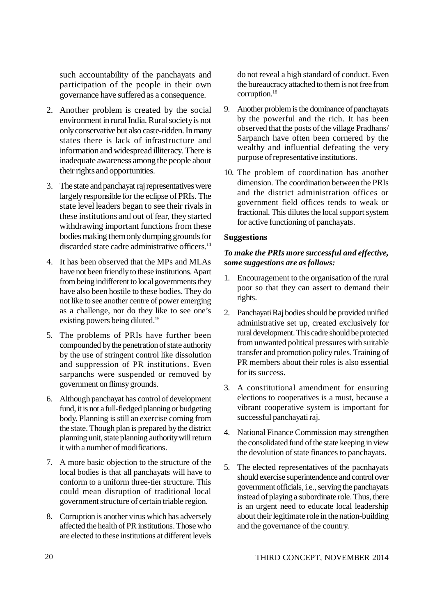such accountability of the panchayats and participation of the people in their own governance have suffered as a consequence.

- 2. Another problem is created by the social environment in rural India. Rural society is not only conservative but also caste-ridden. In many states there is lack of infrastructure and information and widespread illiteracy. There is inadequate awareness among the people about their rights and opportunities.
- 3. The state and panchayat raj representatives were largely responsible for the eclipse of PRIs. The state level leaders began to see their rivals in these institutions and out of fear, they started withdrawing important functions from these bodies making them only dumping grounds for discarded state cadre administrative officers.<sup>14</sup>
- 4. It has been observed that the MPs and MLAs have not been friendly to these institutions. Apart from being indifferent to local governments they have also been hostile to these bodies. They do not like to see another centre of power emerging as a challenge, nor do they like to see one's existing powers being diluted.<sup>15</sup>
- 5. The problems of PRIs have further been compounded by the penetration of state authority by the use of stringent control like dissolution and suppression of PR institutions. Even sarpanchs were suspended or removed by government on flimsy grounds.
- 6. Although panchayat has control of development fund, it is not a full-fledged planning or budgeting body. Planning is still an exercise coming from the state. Though plan is prepared by the district planning unit, state planning authority will return it with a number of modifications.
- 7. A more basic objection to the structure of the local bodies is that all panchayats will have to conform to a uniform three-tier structure. This could mean disruption of traditional local government structure of certain triable region.
- 8. Corruption is another virus which has adversely affected the health of PR institutions. Those who are elected to these institutions at different levels

do not reveal a high standard of conduct. Even the bureaucracy attached to them is not free from corruption.<sup>16</sup>

- 9. Another problem is the dominance of panchayats by the powerful and the rich. It has been observed that the posts of the village Pradhans/ Sarpanch have often been cornered by the wealthy and influential defeating the very purpose of representative institutions.
- 10. The problem of coordination has another dimension. The coordination between the PRIs and the district administration offices or government field offices tends to weak or fractional. This dilutes the local support system for active functioning of panchayats.

## **Suggestions**

### *To make the PRIs more successful and effective, some suggestions are as follows:*

- 1. Encouragement to the organisation of the rural poor so that they can assert to demand their rights.
- 2. Panchayati Raj bodies should be provided unified administrative set up, created exclusively for rural development. This cadre should be protected from unwanted political pressures with suitable transfer and promotion policy rules. Training of PR members about their roles is also essential for its success.
- 3. A constitutional amendment for ensuring elections to cooperatives is a must, because a vibrant cooperative system is important for successful panchayati raj.
- 4. National Finance Commission may strengthen the consolidated fund of the state keeping in view the devolution of state finances to panchayats.
- 5. The elected representatives of the pacnhayats should exercise superintendence and control over government officials, i.e., serving the panchayats instead of playing a subordinate role. Thus, there is an urgent need to educate local leadership about their legitimate role in the nation-building and the governance of the country.

20 THIRD CONCEPT, NOVEMBER 2014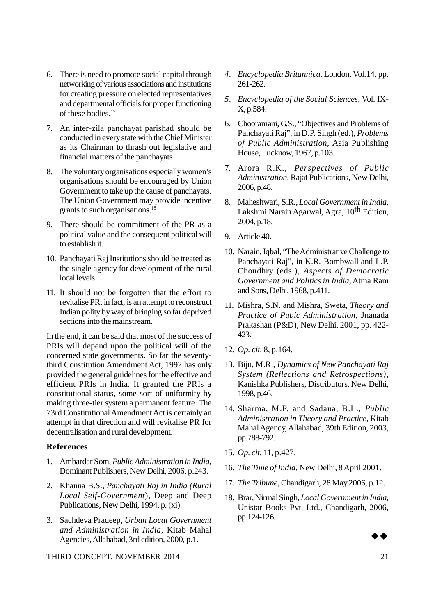- 6. There is need to promote social capital through networking of various associations and institutions for creating pressure on elected representatives and departmental officials for proper functioning of these bodies.<sup>17</sup>
- 7. An inter-zila panchayat parishad should be conducted in every state with the Chief Minister as its Chairman to thrash out legislative and financial matters of the panchayats.
- 8. The voluntary organisations especially women's organisations should be encouraged by Union Government to take up the cause of panchayats. The Union Government may provide incentive grants to such organisations.<sup>18</sup>
- 9. There should be commitment of the PR as a political value and the consequent political will to establish it.
- 10. Panchayati Raj Institutions should be treated as the single agency for development of the rural local levels.
- 11. It should not be forgotten that the effort to revitalise PR, in fact, is an attempt to reconstruct Indian polity by way of bringing so far deprived sections into the mainstream.

In the end, it can be said that most of the success of PRIs will depend upon the political will of the concerned state governments. So far the seventythird Constitution Amendment Act, 1992 has only provided the general guidelines for the effective and efficient PRIs in India. It granted the PRIs a constitutional status, some sort of uniformity by making three-tier system a permanent feature. The 73rd Constitutional Amendment Act is certainly an attempt in that direction and will revitalise PR for decentralisation and rural development.

#### **References**

- 1. Ambardar Som, *Public Administration in India*, Dominant Publishers, New Delhi, 2006, p.243.
- 2. Khanna B.S., *Panchayati Raj in India (Rural Local Self-Government*), Deep and Deep Publications, New Delhi, 1994, p. (xi).
- 3. Sachdeva Pradeep, *Urban Local Government and Administration in India*, Kitab Mahal Agencies, Allahabad, 3rd edition, 2000, p.1.

THIRD CONCEPT, NOVEMBER 2014 21

- *4. Encyclopedia Britannica*, London, Vol.14, pp. 261-262.
- *5. Encyclopedia of the Social Sciences*, Vol. IX-X, p.584.
- 6. Chooramani, G.S., "Objectives and Problems of Panchayati Raj", in D.P. Singh (ed.), *Problems of Public Administration,* Asia Publishing House, Lucknow, 1967, p.103.
- 7. Arora R.K., *Perspectives of Public Administration*, Rajat Publications, New Delhi, 2006, p.48.
- 8. Maheshwari, S.R., *Local Government in India*, Lakshmi Narain Agarwal, Agra, 10th Edition, 2004, p.18.
- 9. Article 40.
- 10. Narain, Iqbal, "The Administrative Challenge to Panchayati Raj", in K.R. Bombwall and L.P. Choudhry (eds.), *Aspects of Democratic Government and Politics in India*, Atma Ram and Sons, Delhi, 1968, p.411.
- 11. Mishra, S.N. and Mishra, Sweta, *Theory and Practice of Pubic Administration*, Jnanada Prakashan (P&D), New Delhi, 2001, pp. 422- 423.
- 12*. Op. cit.* 8, p.164.
- 13. Biju, M.R., *Dynamics of New Panchayati Raj System (Reflections and Retrospections)*, Kanishka Publishers, Distributors, New Delhi, 1998, p.46.
- 14. Sharma, M.P. and Sadana, B.L., *Public Administration in Theory and Practice*, Kitab Mahal Agency, Allahabad, 39th Edition, 2003, pp.788-792.
- 15*. Op. cit.* 11, p.427.
- 16*. The Time of India*, New Delhi, 8 April 2001.
- 17*. The Tribune*, Chandigarh, 28 May 2006, p.12.
- 18. Brar, Nirmal Singh, *Local Government in India*, Unistar Books Pvt. Ltd., Chandigarh, 2006, pp.124-126.

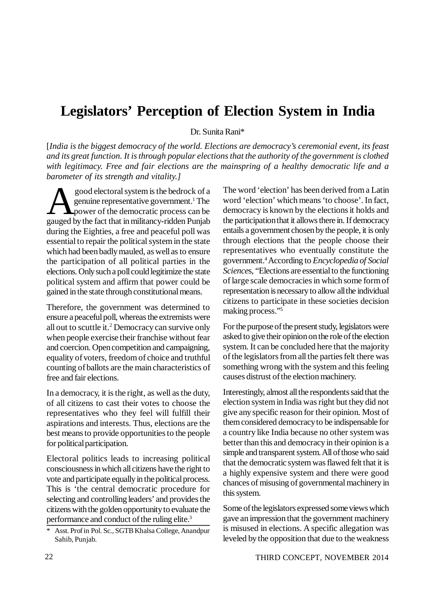# **Legislators' Perception of Election System in India**

Dr. Sunita Rani\*

[*India is the biggest democracy of the world. Elections are democracy's ceremonial event, its feast and its great function. It is through popular elections that the authority of the government is clothed with legitimacy. Free and fair elections are the mainspring of a healthy democratic life and a barometer of its strength and vitality.]*

good electoral system is the bedrock of a<br>genuine representative government.<sup>1</sup> The<br>gauged by the fact that in militancy-ridden Punjab good electoral system is the bedrock of a genuine representative government.<sup>1</sup> The power of the democratic process can be during the Eighties, a free and peaceful poll was essential to repair the political system in the state which had been badly mauled, as well as to ensure the participation of all political parties in the elections. Only such a poll could legitimize the state political system and affirm that power could be gained in the state through constitutional means.

Therefore, the government was determined to ensure a peaceful poll, whereas the extremists were all out to scuttle it.<sup>2</sup> Democracy can survive only when people exercise their franchise without fear and coercion. Open competition and campaigning, equality of voters, freedom of choice and truthful counting of ballots are the main characteristics of free and fair elections.

In a democracy, it is the right, as well as the duty, of all citizens to cast their votes to choose the representatives who they feel will fulfill their aspirations and interests. Thus, elections are the best means to provide opportunities to the people for political participation.

Electoral politics leads to increasing political consciousness in which all citizens have the right to vote and participate equally in the political process. This is 'the central democratic procedure for selecting and controlling leaders' and provides the citizens with the golden opportunity to evaluate the performance and conduct of the ruling elite.<sup>3</sup>

The word 'election' has been derived from a Latin word 'election' which means 'to choose'. In fact, democracy is known by the elections it holds and the participation that it allows there in. If democracy entails a government chosen by the people, it is only through elections that the people choose their representatives who eventually constitute the government.<sup>4</sup> According to *Encyclopedia of Social Science*s, "Elections are essential to the functioning of large scale democracies in which some form of representation is necessary to allow all the individual citizens to participate in these societies decision making process."<sup>5</sup>

For the purpose of the present study, legislators were asked to give their opinion on the role of the election system. It can be concluded here that the majority of the legislators from all the parties felt there was something wrong with the system and this feeling causes distrust of the election machinery.

Interestingly, almost all the respondents said that the election system in India was right but they did not give any specific reason for their opinion. Most of them considered democracy to be indispensable for a country like India because no other system was better than this and democracy in their opinion is a simple and transparent system. All of those who said that the democratic system was flawed felt that it is a highly expensive system and there were good chances of misusing of governmental machinery in this system.

Some of the legislators expressed some views which gave an impression that the government machinery is misused in elections. A specific allegation was leveled by the opposition that due to the weakness

Asst. Prof in Pol. Sc., SGTB Khalsa College, Anandpur Sahib, Punjab.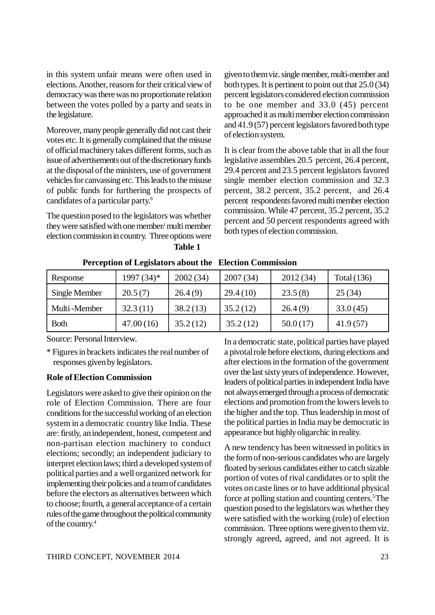in this system unfair means were often used in elections. Another, reasons for their critical view of democracy was there was no proportionate relation between the votes polled by a party and seats in the legislature.

Moreover, many people generally did not cast their votes etc. It is generally complained that the misuse of official machinery takes different forms, such as issue of advertisements out of the discretionary funds at the disposal of the ministers, use of government vehicles for canvassing etc. This leads to the misuse of public funds for furthering the prospects of candidates of a particular party.<sup>6</sup>

The question posed to the legislators was whether they were satisfied with one member/ multi member election commission in country. Three options were **Table 1**

given to them viz. single member, multi-member and both types. It is pertinent to point out that 25.0 (34) percent legislators considered election commission to be one member and 33.0 (45) percent approached it as multi member election commission and 41.9 (57) percent legislators favored both type of election system.

It is clear from the above table that in all the four legislative assemblies 20.5 percent, 26.4 percent, 29.4 percent and 23.5 percent legislators favored single member election commission and 32.3 percent, 38.2 percent, 35.2 percent, and 26.4 percent respondents favored multi member election commission. While 47 percent, 35.2 percent, 35.2 percent and 50 percent respondents agreed with both types of election commission.

| Response      | $1997(34)$ * | 2002(34) | 2007(34) | 2012(34) | Total $(136)$ |
|---------------|--------------|----------|----------|----------|---------------|
| Single Member | 20.5(7)      | 26.4(9)  | 29.4(10) | 23.5(8)  | 25(34)        |
| Multi-Member  | 32.3(11)     | 38.2(13) | 35.2(12) | 26.4(9)  | 33.0(45)      |
| <b>Both</b>   | 47.00(16)    | 35.2(12) | 35.2(12) | 50.0(17) | 41.9(57)      |

| <b>Perception of Legislators about the Election Commission</b> |  |
|----------------------------------------------------------------|--|
|----------------------------------------------------------------|--|

Source: Personal Interview.

\* Figures in brackets indicates the real number of responses given by legislators.

#### **Role of Election Commission**

Legislators were asked to give their opinion on the role of Election Commission. There are four conditions for the successful working of an election system in a democratic country like India. These are: firstly, an independent, honest, competent and non-partisan election machinery to conduct elections; secondly; an independent judiciary to interpret election laws; third a developed system of political parties and a well organized network for implementing their policies and a team of candidates before the electors as alternatives between which to choose; fourth, a general acceptance of a certain rules of the game throughout the political community of the country.<sup>4</sup>

In a democratic state, political parties have played a pivotal role before elections, during elections and after elections in the formation of the government over the last sixty years of independence. However, leaders of political parties in independent India have not always emerged through a process of democratic elections and promotion from the lowers levels to the higher and the top. Thus leadership in most of the political parties in India may be democratic in appearance but highly oligarchic in reality.

A new tendency has been witnessed in politics in the form of non-serious candidates who are largely floated by serious candidates either to catch sizable portion of votes of rival candidates or to split the votes on caste lines or to have additional physical force at polling station and counting centers.<sup>5</sup>The question posed to the legislators was whether they were satisfied with the working (role) of election commission. Three options were given to them viz. strongly agreed, agreed, and not agreed. It is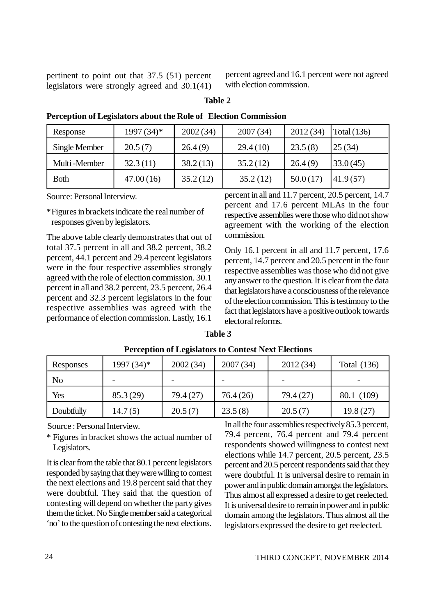pertinent to point out that 37.5 (51) percent legislators were strongly agreed and 30.1(41) percent agreed and 16.1 percent were not agreed with election commission.

#### **Table 2**

| Response      | $1997(34)$ * | 2002(34) | 2007(34) | 2012(34) | $\vert$ Total (136) |
|---------------|--------------|----------|----------|----------|---------------------|
| Single Member | 20.5(7)      | 26.4(9)  | 29.4(10) | 23.5(8)  | 25(34)              |
| Multi-Member  | 32.3(11)     | 38.2(13) | 35.2(12) | 26.4(9)  | 33.0(45)            |
| <b>Both</b>   | 47.00(16)    | 35.2(12) | 35.2(12) | 50.0(17) | 41.9(57)            |

**Perception of Legislators about the Role of Election Commission**

Source: Personal Interview.

\*Figures in brackets indicate the real number of responses given by legislators.

The above table clearly demonstrates that out of total 37.5 percent in all and 38.2 percent, 38.2 percent, 44.1 percent and 29.4 percent legislators were in the four respective assemblies strongly agreed with the role of election commission. 30.1 percent in all and 38.2 percent, 23.5 percent, 26.4 percent and 32.3 percent legislators in the four respective assemblies was agreed with the performance of election commission. Lastly, 16.1

percent in all and 11.7 percent, 20.5 percent, 14.7 percent and 17.6 percent MLAs in the four respective assemblies were those who did not show agreement with the working of the election commission.

Only 16.1 percent in all and 11.7 percent, 17.6 percent, 14.7 percent and 20.5 percent in the four respective assemblies was those who did not give any answer to the question. It is clear from the data that legislators have a consciousness of the relevance of the election commission. This is testimony to the fact that legislators have a positive outlook towards electoral reforms.

#### **Table 3**

| Responses      | $1997(34)*$ | 2002(34) | 2007(34) | 2012(34) | Total (136) |
|----------------|-------------|----------|----------|----------|-------------|
| N <sub>0</sub> |             |          |          |          |             |
| Yes            | 85.3(29)    | 79.4(27) | 76.4(26) | 79.4(27) | 80.1 (109)  |
| Doubtfully     | 14.7(5)     | 20.5(7)  | 23.5(8)  | 20.5(7)  | 19.8(27)    |

## **Perception of Legislators to Contest Next Elections**

Source : Personal Interview.

\* Figures in bracket shows the actual number of Legislators.

It is clear from the table that 80.1 percent legislators responded by saying that they were willing to contest the next elections and 19.8 percent said that they were doubtful. They said that the question of contesting will depend on whether the party gives them the ticket. No Single member said a categorical 'no' to the question of contesting the next elections. In all the four assemblies respectively 85.3 percent, 79.4 percent, 76.4 percent and 79.4 percent respondents showed willingness to contest next elections while 14.7 percent, 20.5 percent, 23.5 percent and 20.5 percent respondents said that they were doubtful. It is universal desire to remain in power and in public domain amongst the legislators. Thus almost all expressed a desire to get reelected. It is universal desire to remain in power and in public domain among the legislators. Thus almost all the legislators expressed the desire to get reelected.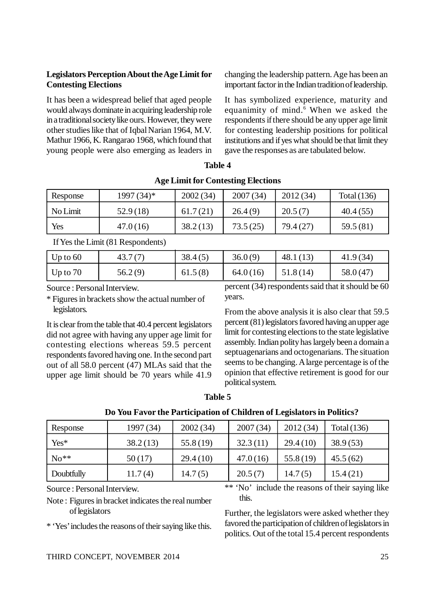## **Legislators Perception About the Age Limit for Contesting Elections**

It has been a widespread belief that aged people would always dominate in acquiring leadership role in a traditional society like ours. However, they were other studies like that of Iqbal Narian 1964, M.V. Mathur 1966, K. Rangarao 1968, which found that young people were also emerging as leaders in changing the leadership pattern. Age has been an important factor in the Indian tradition of leadership.

It has symbolized experience, maturity and equanimity of mind.<sup>6</sup> When we asked the respondents if there should be any upper age limit for contesting leadership positions for political institutions and if yes what should be that limit they gave the responses as are tabulated below.

| abie |  |
|------|--|
|------|--|

| Response | $1997(34)*$ | 2002(34) | 2007(34) | 2012(34)  | Total $(136)$ |
|----------|-------------|----------|----------|-----------|---------------|
| No Limit | 52.9(18)    | 61.7(21) | 26.4(9)  | 20.5(7)   | 40.4(55)      |
| Yes      | 47.0(16)    | 38.2(13) | 73.5(25) | 79.4 (27) | 59.5(81)      |

**Age Limit for Contesting Elections**

If Yes the Limit (81 Respondents)

| Up to $60$ | 43.7(7) | 38.4(5) | 36.0(9)  | 48.1(13) | 41.9(34) |
|------------|---------|---------|----------|----------|----------|
| Up to $70$ | 56.2(9) | 61.5(8) | 64.0(16) | 51.8(14) | 58.0(47) |

Source : Personal Interview.

\* Figures in brackets show the actual number of legislators*.*

It is clear from the table that 40.4 percent legislators did not agree with having any upper age limit for contesting elections whereas 59.5 percent respondents favored having one. In the second part out of all 58.0 percent (47) MLAs said that the upper age limit should be 70 years while 41.9

percent (34) respondents said that it should be 60 years.

From the above analysis it is also clear that 59.5 percent (81) legislators favored having an upper age limit for contesting elections to the state legislative assembly. Indian polity has largely been a domain a septuagenarians and octogenarians. The situation seems to be changing. A large percentage is of the opinion that effective retirement is good for our political system.

| Response   | 1997 (34) | 2002(34) | 2007(34) | 2012(34) | Total $(136)$ |
|------------|-----------|----------|----------|----------|---------------|
| $Yes*$     | 38.2(13)  | 55.8(19) | 32.3(11) | 29.4(10) | 38.9(53)      |
| $No**$     | 50(17)    | 29.4(10) | 47.0(16) | 55.8(19) | 45.5(62)      |
| Doubtfully | 11.7(4)   | 14.7(5)  | 20.5(7)  | 14.7(5)  | 15.4(21)      |

## **Do You Favor the Participation of Children of Legislators in Politics?**

Source : Personal Interview.

Note : Figures in bracket indicates the real number of legislators

\* 'Yes' includes the reasons of their saying like this.

\*\* 'No' include the reasons of their saying like this.

Further, the legislators were asked whether they favored the participation of children of legislators in politics. Out of the total 15.4 percent respondents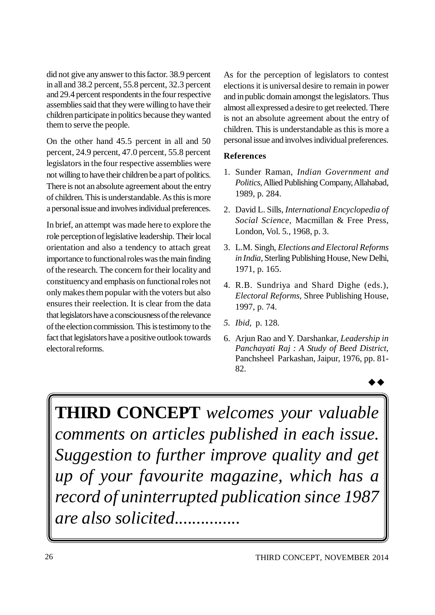did not give any answer to this factor. 38.9 percent in all and 38.2 percent, 55.8 percent, 32.3 percent and 29.4 percent respondents in the four respective assemblies said that they were willing to have their children participate in politics because they wanted them to serve the people.

On the other hand 45.5 percent in all and 50 percent, 24.9 percent, 47.0 percent, 55.8 percent legislators in the four respective assemblies were not willing to have their children be a part of politics. There is not an absolute agreement about the entry of children. This is understandable. As this is more a personal issue and involves individual preferences.

In brief, an attempt was made here to explore the role perception of legislative leadership. Their local orientation and also a tendency to attach great importance to functional roles was the main finding of the research. The concern for their locality and constituency and emphasis on functional roles not only makes them popular with the voters but also ensures their reelection. It is clear from the data that legislators have a consciousness of the relevance of the election commission. This is testimony to the fact that legislators have a positive outlook towards electoral reforms.

As for the perception of legislators to contest elections it is universal desire to remain in power and in public domain amongst the legislators. Thus almost all expressed a desire to get reelected. There is not an absolute agreement about the entry of children. This is understandable as this is more a personal issue and involves individual preferences.

## **References**

- 1. Sunder Raman, *Indian Government and Politics,* Allied Publishing Company, Allahabad, 1989, p. 284.
- 2. David L. Sills, *International Encyclopedia of Social Science,* Macmillan & Free Press, London, Vol. 5., 1968, p. 3.
- 3. L.M. Singh, *Elections and Electoral Reforms in India,* Sterling Publishing House, New Delhi, 1971, p. 165.
- 4. R.B. Sundriya and Shard Dighe (eds.)*, Electoral Reforms*, Shree Publishing House, 1997, p. 74.
- *5. Ibid,* p. 128.
- 6. Arjun Rao and Y. Darshankar, *Leadership in Panchayati Raj : A Study of Beed District*, Panchsheel Parkashan, Jaipur, 1976, pp. 81- 82.

 $\rightarrow \rightarrow$ 

**THIRD CONCEPT** *welcomes your valuable comments on articles published in each issue. Suggestion to further improve quality and get up of your favourite magazine, which has a record of uninterrupted publication since 1987 are also solicited...............*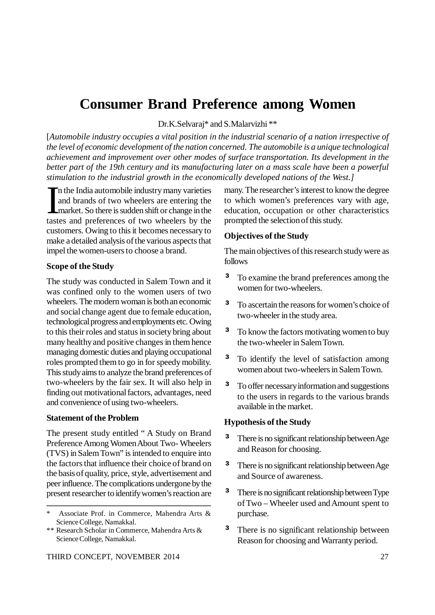## **Consumer Brand Preference among Women**

Dr.K.Selvaraj\* and S.Malarvizhi \*\*

[*Automobile industry occupies a vital position in the industrial scenario of a nation irrespective of the level of economic development of the nation concerned. The automobile is a unique technological achievement and improvement over other modes of surface transportation. Its development in the better part of the 19th century and its manufacturing later on a mass scale have been a powerful stimulation to the industrial growth in the economically developed nations of the West.]*

In the India automobile industry many varieties<br>and brands of two wheelers are entering the<br>market. So there is sudden shift or change in the<br>tastes and preferences of two wheelers by the n the India automobile industry many varieties and brands of two wheelers are entering the market. So there is sudden shift or change in the customers. Owing to this it becomes necessary to make a detailed analysis of the various aspects that impel the women-users to choose a brand.

#### **Scope of the Study**

The study was conducted in Salem Town and it was confined only to the women users of two wheelers. The modern woman is both an economic and social change agent due to female education, technological progress and employments etc. Owing to this their roles and status in society bring about many healthy and positive changes in them hence managing domestic duties and playing occupational roles prompted them to go in for speedy mobility. This study aims to analyze the brand preferences of two-wheelers by the fair sex. It will also help in finding out motivational factors, advantages, need and convenience of using two-wheelers.

#### **Statement of the Problem**

The present study entitled " A Study on Brand Preference Among Women About Two- Wheelers (TVS) in Salem Town" is intended to enquire into the factors that influence their choice of brand on the basis of quality, price, style, advertisement and peer influence. The complications undergone by the present researcher to identify women's reaction are

many. The researcher's interest to know the degree to which women's preferences vary with age, education, occupation or other characteristics prompted the selection of this study.

#### **Objectives of the Study**

The main objectives of this research study were as follows

- **³** To examine the brand preferences among the women for two-wheelers.
- **³** To ascertain the reasons for women's choice of two-wheeler in the study area.
- **³** To know the factors motivating women to buy the two-wheeler in Salem Town.
- **³** To identify the level of satisfaction among women about two-wheelers in Salem Town.
- **³** To offer necessary information and suggestions to the users in regards to the various brands available in the market.

#### **Hypothesis of the Study**

- **³** There is no significant relationship between Age and Reason for choosing.
- **³** There is no significant relationship between Age and Source of awareness.
- **³** There is no significant relationship between Type of Two – Wheeler used and Amount spent to purchase.
- **³** There is no significant relationship between Reason for choosing and Warranty period.

Associate Prof. in Commerce, Mahendra Arts & Science College, Namakkal.

<sup>\*\*</sup> Research Scholar in Commerce, Mahendra Arts & Science College, Namakkal.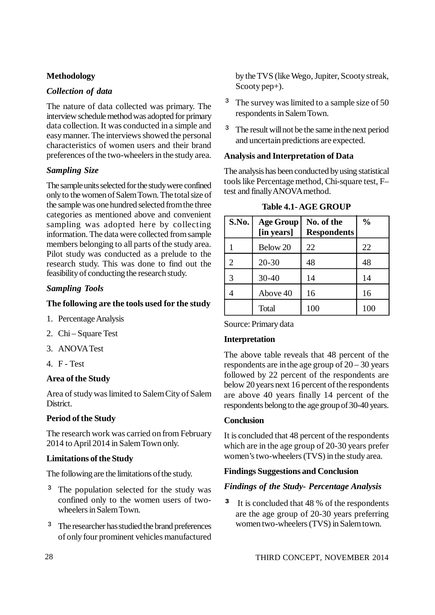## **Methodology**

## *Collection of data*

The nature of data collected was primary. The interview schedule method was adopted for primary data collection. It was conducted in a simple and easy manner. The interviews showed the personal characteristics of women users and their brand preferences of the two-wheelers in the study area.

## *Sampling Size*

The sample units selected for the study were confined only to the women of Salem Town. The total size of the sample was one hundred selected from the three categories as mentioned above and convenient sampling was adopted here by collecting information. The data were collected from sample members belonging to all parts of the study area. Pilot study was conducted as a prelude to the research study. This was done to find out the feasibility of conducting the research study.

## *Sampling Tools*

## **The following are the tools used for the study**

- 1. Percentage Analysis
- 2. Chi Square Test
- 3. ANOVA Test
- 4. F Test

## **Area of the Study**

Area of study was limited to Salem City of Salem District.

## **Period of the Study**

The research work was carried on from February 2014 to April 2014 in Salem Town only.

## **Limitations of the Study**

The following are the limitations of the study.

- <sup>3</sup> The population selected for the study was confined only to the women users of twowheelers in Salem Town.
- <sup>3</sup> The researcher has studied the brand preferences of only four prominent vehicles manufactured

by the TVS (like Wego, Jupiter, Scooty streak, Scooty pep+).

- <sup>3</sup> The survey was limited to a sample size of 50 respondents in Salem Town.
- <sup>3</sup> The result will not be the same in the next period and uncertain predictions are expected.

## **Analysis and Interpretation of Data**

The analysis has been conducted by using statistical tools like Percentage method, Chi-square test, F– test and finally ANOVA method.

| S.No.          | <b>Age Group</b><br>[in years] | No. of the<br><b>Respondents</b> | $\frac{0}{0}$ |
|----------------|--------------------------------|----------------------------------|---------------|
|                | Below 20                       | 22                               | 22            |
| $\overline{2}$ | $20 - 30$                      | 48                               | 48            |
| 3              | $30 - 40$                      | 14                               | 14            |
|                | Above 40                       | 16                               | 16            |
|                | Total                          | 100                              | 100           |

**Table 4.1- AGE GROUP**

## Source: Primary data

## **Interpretation**

The above table reveals that 48 percent of the respondents are in the age group of  $20 - 30$  years followed by 22 percent of the respondents are below 20 years next 16 percent of the respondents are above 40 years finally 14 percent of the respondents belong to the age group of 30-40 years.

## **Conclusion**

It is concluded that 48 percent of the respondents which are in the age group of 20-30 years prefer women's two-wheelers (TVS) in the study area.

## **Findings Suggestions and Conclusion**

## *Findings of the Study- Percentage Analysis*

**3** It is concluded that 48 % of the respondents are the age group of 20-30 years preferring women two-wheelers (TVS) in Salem town.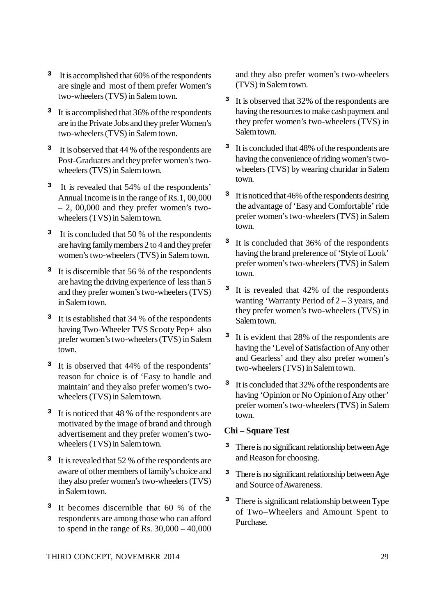- **3** It is accomplished that 60% of the respondents are single and most of them prefer Women's two-wheelers (TVS) in Salem town.
- **3** It is accomplished that 36% of the respondents are in the Private Jobs and they prefer Women's two-wheelers (TVS) in Salem town.
- **³** It is observed that 44 % of the respondents are Post-Graduates and they prefer women's twowheelers (TVS) in Salem town.
- **³** It is revealed that 54% of the respondents' Annual Income is in the range of Rs.1, 00,000 – 2, 00,000 and they prefer women's twowheelers (TVS) in Salem town.
- **3** It is concluded that 50 % of the respondents are having family members 2 to 4 and they prefer women's two-wheelers (TVS) in Salem town.
- **3** It is discernible that 56 % of the respondents are having the driving experience of less than 5 and they prefer women's two-wheelers (TVS) in Salem town.
- **3** It is established that 34 % of the respondents having Two-Wheeler TVS Scooty Pep+ also prefer women's two-wheelers (TVS) in Salem town.
- **³** It is observed that 44% of the respondents' reason for choice is of 'Easy to handle and maintain' and they also prefer women's twowheelers (TVS) in Salem town.
- **3** It is noticed that 48 % of the respondents are motivated by the image of brand and through advertisement and they prefer women's twowheelers (TVS) in Salem town.
- **³** It is revealed that 52 % of the respondents are aware of other members of family's choice and they also prefer women's two-wheelers (TVS) in Salem town.
- **3** It becomes discernible that 60 % of the respondents are among those who can afford to spend in the range of Rs.  $30,000 - 40,000$

and they also prefer women's two-wheelers (TVS) in Salem town.

- **³** It is observed that 32% of the respondents are having the resources to make cash payment and they prefer women's two-wheelers (TVS) in Salem town.
- **³** It is concluded that 48% of the respondents are having the convenience of riding women's twowheelers (TVS) by wearing churidar in Salem town.
- **³** It is noticed that 46% of the respondents desiring the advantage of 'Easy and Comfortable' ride prefer women's two-wheelers (TVS) in Salem town.
- **³** It is concluded that 36% of the respondents having the brand preference of 'Style of Look' prefer women's two-wheelers (TVS) in Salem town.
- **3** It is revealed that 42% of the respondents wanting 'Warranty Period of 2 – 3 years, and they prefer women's two-wheelers (TVS) in Salem town.
- **3** It is evident that 28% of the respondents are having the 'Level of Satisfaction of Any other and Gearless' and they also prefer women's two-wheelers (TVS) in Salem town.
- **³** It is concluded that 32% of the respondents are having 'Opinion or No Opinion of Any other' prefer women's two-wheelers (TVS) in Salem town.

#### **Chi – Square Test**

- **³** There is no significant relationship between Age and Reason for choosing.
- **³** There is no significant relationship between Age and Source of Awareness.
- **³** There is significant relationship between Type of Two–Wheelers and Amount Spent to Purchase.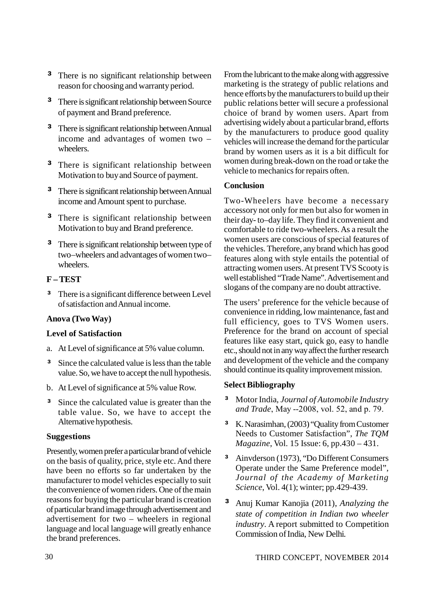- **3** There is no significant relationship between reason for choosing and warranty period.
- **³** There is significant relationship between Source of payment and Brand preference.
- **³** There is significant relationship between Annual income and advantages of women two – wheelers.
- <sup>3</sup> There is significant relationship between Motivation to buy and Source of payment.
- **³** There is significant relationship between Annual income and Amount spent to purchase.
- **3** There is significant relationship between Motivation to buy and Brand preference.
- **³** There is significant relationship between type of two–wheelers and advantages of women two– wheelers.

## **F – TEST**

**³** There is a significant difference between Level of satisfaction and Annual income.

## **Anova (Two Way)**

## **Level of Satisfaction**

- a. At Level of significance at 5% value column.
- **³** Since the calculated value is less than the table value. So, we have to accept the null hypothesis.
- b. At Level of significance at 5% value Row.
- <sup>3</sup> Since the calculated value is greater than the table value. So, we have to accept the Alternative hypothesis.

## **Suggestions**

Presently, women prefer a particular brand of vehicle on the basis of quality, price, style etc. And there have been no efforts so far undertaken by the manufacturer to model vehicles especially to suit the convenience of women riders. One of the main reasons for buying the particular brand is creation of particular brand image through advertisement and advertisement for two – wheelers in regional language and local language will greatly enhance the brand preferences.

From the lubricant to the make along with aggressive marketing is the strategy of public relations and hence efforts by the manufacturers to build up their public relations better will secure a professional choice of brand by women users. Apart from advertising widely about a particular brand, efforts by the manufacturers to produce good quality vehicles will increase the demand for the particular brand by women users as it is a bit difficult for women during break-down on the road or take the vehicle to mechanics for repairs often.

## **Conclusion**

Two-Wheelers have become a necessary accessory not only for men but also for women in their day- to–day life. They find it convenient and comfortable to ride two-wheelers. As a result the women users are conscious of special features of the vehicles. Therefore, any brand which has good features along with style entails the potential of attracting women users. At present TVS Scooty is well established "Trade Name". Advertisement and slogans of the company are no doubt attractive.

The users' preference for the vehicle because of convenience in ridding, low maintenance, fast and full efficiency, goes to TVS Women users. Preference for the brand on account of special features like easy start, quick go, easy to handle etc., should not in any way affect the further research and development of the vehicle and the company should continue its quality improvement mission.

## **Select Bibliography**

- **³** Motor India, *Journal of Automobile Industry and Trade*, May --2008, vol. 52, and p. 79.
- **³** K. Narasimhan, (2003) "Quality from Customer Needs to Customer Satisfaction", *The TQM Magazine*, Vol. 15 Issue: 6, pp.430 – 431.
- **³** Ainvderson (1973), "Do Different Consumers Operate under the Same Preference model", *Journal of the Academy of Marketing Science*, Vol. 4(1); winter; pp.429-439.
- **³** Anuj Kumar Kanojia (2011), *Analyzing the state of competition in Indian two wheeler industry*. A report submitted to Competition Commission of India, New Delhi.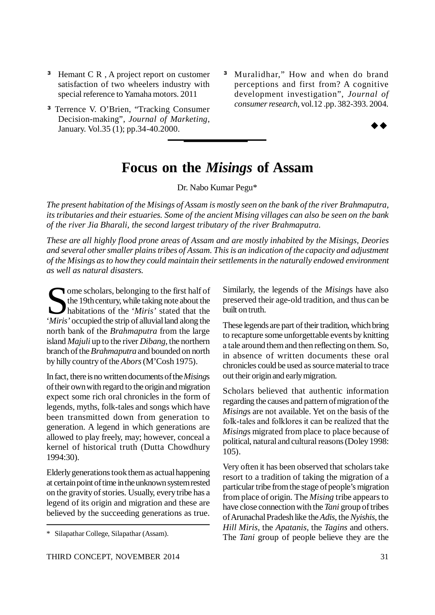- **³** Hemant C R , A project report on customer satisfaction of two wheelers industry with special reference to Yamaha motors. 2011
- **³** Terrence V. O'Brien, "Tracking Consumer Decision-making", *Journal of Marketing*, January. Vol.35 (1); pp.34-40.2000.
- **³** Muralidhar," How and when do brand perceptions and first from? A cognitive development investigation", *Journal of consumer research*, vol.12 .pp. 382-393. 2004.

 $\rightarrow \rightarrow$ 

## **Focus on the** *Misings* **of Assam**

#### Dr. Nabo Kumar Pegu\*

*The present habitation of the Misings of Assam is mostly seen on the bank of the river Brahmaputra, its tributaries and their estuaries. Some of the ancient Mising villages can also be seen on the bank of the river Jia Bharali, the second largest tributary of the river Brahmaputra.*

*These are all highly flood prone areas of Assam and are mostly inhabited by the Misings, Deories and several other smaller plains tribes of Assam. This is an indication of the capacity and adjustment of the Misings as to how they could maintain their settlements in the naturally endowed environment as well as natural disasters.*

Some scholars, belonging to the first half of<br>the 19th century, while taking note about the<br>habitations of the '*Miris*' stated that the<br>'*Miris*' occupied the strip of alluvial land along the the 19th century, while taking note about the habitations of the '*Miris'* stated that the '*Miris'* occupied the strip of alluvial land along the north bank of the *Brahmaputra* from the large island *Majuli* up to the river *Dibang*, the northern branch of the *Brahmaputra* and bounded on north by hilly country of the *Abors* (M'Cosh 1975).

In fact, there is no written documents of the *Mising*s of their own with regard to the origin and migration expect some rich oral chronicles in the form of legends, myths, folk-tales and songs which have been transmitted down from generation to generation. A legend in which generations are allowed to play freely, may; however, conceal a kernel of historical truth (Dutta Chowdhury 1994:30).

Elderly generations took them as actual happening at certain point of time in the unknown system rested on the gravity of stories. Usually, every tribe has a legend of its origin and migration and these are believed by the succeeding generations as true.

Similarly, the legends of the *Mising*s have also preserved their age-old tradition, and thus can be built on truth.

These legends are part of their tradition, which bring to recapture some unforgettable events by knitting a tale around them and then reflecting on them. So, in absence of written documents these oral chronicles could be used as source material to trace out their origin and early migration.

Scholars believed that authentic information regarding the causes and pattern of migration of the *Mising*s are not available. Yet on the basis of the folk-tales and folklores it can be realized that the *Mising*s migrated from place to place because of political, natural and cultural reasons (Doley 1998: 105).

Very often it has been observed that scholars take resort to a tradition of taking the migration of a particular tribe from the stage of people's migration from place of origin. The *Mising* tribe appears to have close connection with the *Tani* group of tribes of Arunachal Pradesh like the *Adis*, the *Nyishis*, the *Hill Miris*, the *Apatanis*, the *Tagins* and others. The *Tani* group of people believe they are the

<sup>\*</sup> Silapathar College, Silapathar (Assam).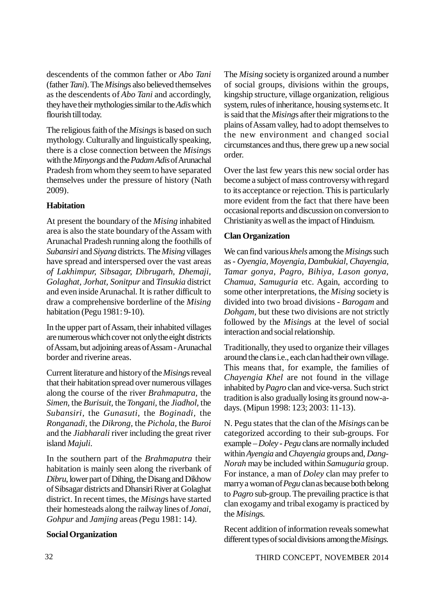descendents of the common father or *Abo Tani* (father *Tani*). The *Mising*s also believed themselves as the descendents of *Abo Tani* and accordingly, they have their mythologies similar to the *Adis* which flourish till today.

The religious faith of the *Mising*s is based on such mythology. Culturally and linguistically speaking, there is a close connection between the *Mising*s with the *Minyongs* and the *Padam Adis* of Arunachal Pradesh from whom they seem to have separated themselves under the pressure of history (Nath 2009).

#### **Habitation**

At present the boundary of the *Mising* inhabited area is also the state boundary of the Assam with Arunachal Pradesh running along the foothills of *Subansiri* and *Siyang* districts. The *Mising* villages have spread and interspersed over the vast areas *of Lakhimpur, Sibsagar, Dibrugarh, Dhemaji, Golaghat, Jorhat, Sonitpur* and *Tinsukia* district and even inside Arunachal. It is rather difficult to draw a comprehensive borderline of the *Mising* habitation (Pegu 1981: 9-10).

In the upper part of Assam, their inhabited villages are numerous which cover not only the eight districts of Assam, but adjoining areas of Assam - Arunachal border and riverine areas.

Current literature and history of the *Mising*s reveal that their habitation spread over numerous villages along the course of the river *Brahmaputra*, the *Simen,* the *Burisuit,* the *Tongani,* the *Jiadhol,* the *Subansiri,* the *Gunasuti,* the *Boginadi,* the *Ronganadi,* the *Dikrong,* the *Pichola,* the *Buroi* and the *Jiabharali* river including the great river island *Majuli*.

In the southern part of the *Brahmaputra* their habitation is mainly seen along the riverbank of *Dibru*, lower part of Dihing, the Disang and Dikhow of Sibsagar districts and Dhansiri River at Golaghat district. In recent times, the *Mising*s have started their homesteads along the railway lines of *Jonai*, *Gohpur* and *Jamjing* areas *(*Pegu 1981: 14*).*

#### **Social Organization**

The *Mising* society is organized around a number of social groups, divisions within the groups, kingship structure, village organization, religious system, rules of inheritance, housing systems etc. It is said that the *Mising*s after their migrations to the plains of Assam valley, had to adopt themselves to the new environment and changed social circumstances and thus, there grew up a new social order.

Over the last few years this new social order has become a subject of mass controversy with regard to its acceptance or rejection. This is particularly more evident from the fact that there have been occasional reports and discussion on conversion to Christianity as well as the impact of Hinduism.

## **Clan Organization**

We can find various *khels* among the *Mising*s such as - *Oyengia, Moyengia, Dambukial, Chayengia, Tamar gonya, Pagro, Bihiya, Lason gonya, Chamua, Samuguria* etc. Again, according to some other interpretations, the *Mising* society is divided into two broad divisions - *Barogam* and *Dohgam,* but these two divisions are not strictly followed by the *Mising*s at the level of social interaction and social relationship.

Traditionally, they used to organize their villages around the clans i.e., each clan had their own village. This means that, for example, the families of *Chayengia Khel* are not found in the village inhabited by *Pagro* clan and vice-versa. Such strict tradition is also gradually losing its ground now-adays. (Mipun 1998: 123; 2003: 11-13).

N. Pegu states that the clan of the *Mising*s can be categorized according to their sub-groups. For example – *Doley - Pegu* clans are normally included within *Ayengia* and *Chayengia* groups and, *Dang-Norah* may be included within *Samuguria* group. For instance, a man of *Doley* clan may prefer to marry a woman of *Pegu* clan as because both belong to *Pagro* sub-group. The prevailing practice is that clan exogamy and tribal exogamy is practiced by the *Mising*s.

Recent addition of information reveals somewhat different types of social divisions among the *Misings*.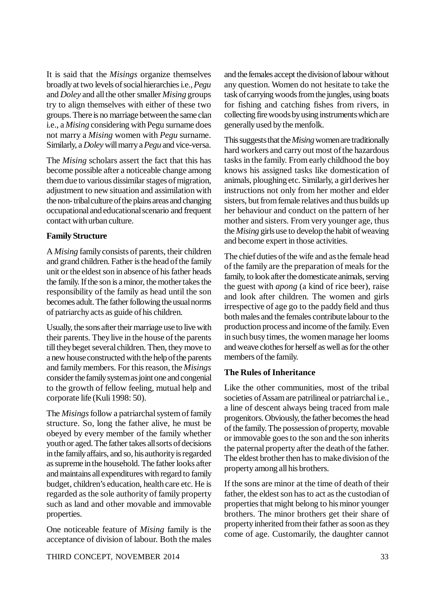It is said that the *Misings* organize themselves broadly at two levels of social hierarchies i.e., *Pegu* and *Doley* and all the other smaller *Mising* groups try to align themselves with either of these two groups. There is no marriage between the same clan i.e., a *Mising* considering with Pegu surname does not marry a *Mising* women with *Pegu* surname. Similarly, a *Doley* will marry a *Pegu* and vice-versa.

The *Mising* scholars assert the fact that this has become possible after a noticeable change among them due to various dissimilar stages of migration, adjustment to new situation and assimilation with the non- tribal culture of the plains areas and changing occupational and educational scenario and frequent contact with urban culture.

#### **Family Structure**

A *Mising* family consists of parents, their children and grand children. Father is the head of the family unit or the eldest son in absence of his father heads the family. If the son is a minor, the mother takes the responsibility of the family as head until the son becomes adult. The father following the usual norms of patriarchy acts as guide of his children.

Usually, the sons after their marriage use to live with their parents. They live in the house of the parents till they beget several children. Then, they move to a new house constructed with the help of the parents and family members. For this reason, the *Misings* consider the family system as joint one and congenial to the growth of fellow feeling, mutual help and corporate life (Kuli 1998: 50).

The *Misings* follow a patriarchal system of family structure. So, long the father alive, he must be obeyed by every member of the family whether youth or aged. The father takes all sorts of decisions in the family affairs, and so, his authority is regarded as supreme in the household. The father looks after and maintains all expenditures with regard to family budget, children's education, health care etc. He is regarded as the sole authority of family property such as land and other movable and immovable properties.

One noticeable feature of *Mising* family is the acceptance of division of labour. Both the males

THIRD CONCEPT, NOVEMBER 2014 33

and the females accept the division of labour without any question. Women do not hesitate to take the task of carrying woods from the jungles, using boats for fishing and catching fishes from rivers, in collecting fire woods by using instruments which are generally used by the menfolk.

This suggests that the *Mising* women are traditionally hard workers and carry out most of the hazardous tasks in the family. From early childhood the boy knows his assigned tasks like domestication of animals, ploughing etc. Similarly, a girl derives her instructions not only from her mother and elder sisters, but from female relatives and thus builds up her behaviour and conduct on the pattern of her mother and sisters. From very younger age, thus the *Mising* girls use to develop the habit of weaving and become expert in those activities.

The chief duties of the wife and as the female head of the family are the preparation of meals for the family, to look after the domesticate animals, serving the guest with *apong* (a kind of rice beer), raise and look after children. The women and girls irrespective of age go to the paddy field and thus both males and the females contribute labour to the production process and income of the family. Even in such busy times, the women manage her looms and weave clothes for herself as well as for the other members of the family.

#### **The Rules of Inheritance**

Like the other communities, most of the tribal societies of Assam are patrilineal or patriarchal i.e., a line of descent always being traced from male progenitors. Obviously, the father becomes the head of the family. The possession of property, movable or immovable goes to the son and the son inherits the paternal property after the death of the father. The eldest brother then has to make division of the property among all his brothers.

If the sons are minor at the time of death of their father, the eldest son has to act as the custodian of properties that might belong to his minor younger brothers. The minor brothers get their share of property inherited from their father as soon as they come of age. Customarily, the daughter cannot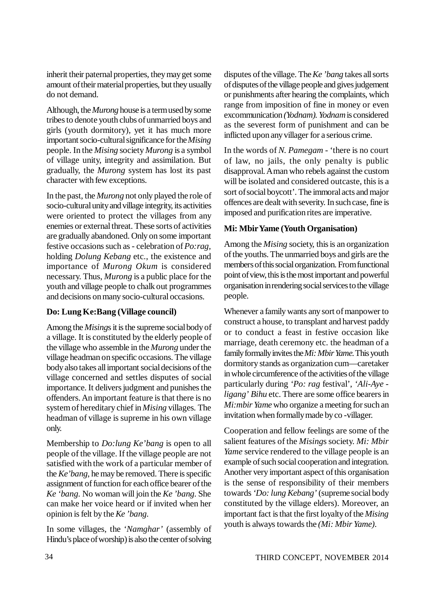inherit their paternal properties, they may get some amount of their material properties, but they usually do not demand.

Although, the *Murong* house is a term used by some tribes to denote youth clubs of unmarried boys and girls (youth dormitory), yet it has much more important socio-cultural significance for the *Mising* people. In the *Mising* society *Murong* is a symbol of village unity, integrity and assimilation. But gradually, the *Murong* system has lost its past character with few exceptions.

In the past, the *Murong* not only played the role of socio-cultural unity and village integrity, its activities were oriented to protect the villages from any enemies or external threat. These sorts of activities are gradually abandoned. Only on some important festive occasions such as - celebration of *Po:rag,* holding *Dolung Kebang* etc., the existence and importance of *Murong Okum* is considered necessary. Thus, *Murong* is a public place for the youth and village people to chalk out programmes and decisions on many socio-cultural occasions.

#### **Do: Lung Ke:Bang (Village council)**

Among the *Mising*s it is the supreme social body of a village. It is constituted by the elderly people of the village who assemble in the *Murong* under the village headman on specific occasions. The village body also takes all important social decisions of the village concerned and settles disputes of social importance. It delivers judgment and punishes the offenders. An important feature is that there is no system of hereditary chief in *Mising* villages. The headman of village is supreme in his own village only.

Membership to *Do:lung Ke'bang* is open to all people of the village. If the village people are not satisfied with the work of a particular member of the *Ke'bang,* he may be removed. There is specific assignment of function for each office bearer of the *Ke 'bang.* No woman will join the *Ke 'bang.* She can make her voice heard or if invited when her opinion is felt by the *Ke 'bang.*

In some villages, the '*Namghar'* (assembly of Hindu's place of worship) is also the center of solving disputes of the village. The *Ke 'bang* takes all sorts of disputes of the village people and gives judgement or punishments after hearing the complaints, which range from imposition of fine in money or even excommunication *(Yodnam). Yodnam* is considered as the severest form of punishment and can be inflicted upon any villager for a serious crime.

In the words of *N. Pamegam* - 'there is no court of law, no jails, the only penalty is public disapproval. A man who rebels against the custom will be isolated and considered outcaste, this is a sort of social boycott'. The immoral acts and major offences are dealt with severity. In such case, fine is imposed and purification rites are imperative.

## **Mi: Mbir Yame (Youth Organisation)**

Among the *Mising* society, this is an organization of the youths. The unmarried boys and girls are the members of this social organization. From functional point of view, this is the most important and powerful organisation in rendering social services to the village people.

Whenever a family wants any sort of manpower to construct a house, to transplant and harvest paddy or to conduct a feast in festive occasion like marriage, death ceremony etc. the headman of a family formally invites the *Mi: Mbir Yame.* This youth dormitory stands as organization cum—caretaker in whole circumference of the activities of the village particularly during *'Po: rag* festival', *'Ali-Aye ligang' Bihu* etc. There are some office bearers in *Mi:mbir Yame* who organize a meeting for such an invitation when formally made by co -villager.

Cooperation and fellow feelings are some of the salient features of the *Mising*s society. *Mi: Mbir Yame* service rendered to the village people is an example of such social cooperation and integration. Another very important aspect of this organisation is the sense of responsibility of their members towards *'Do: lung Kebang'* (supreme social body constituted by the village elders). Moreover, an important fact is that the first loyalty of the *Mising* youth is always towards the *(Mi: Mbir Yame).*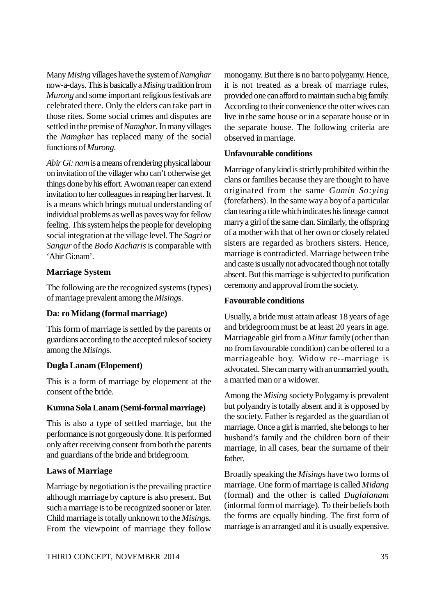Many *Mising* villages have the system of *Namghar* now-a-days. This is basically a *Mising* tradition from *Murong* and some important religious festivals are celebrated there. Only the elders can take part in those rites. Some social crimes and disputes are settled in the premise of *Namghar*. In many villages the *Namghar* has replaced many of the social functions of *Murong*.

*Abir Gi: nam* is a means of rendering physical labour on invitation of the villager who can't otherwise get things done by his effort. A woman reaper can extend invitation to her colleagues in reaping her harvest. It is a means which brings mutual understanding of individual problems as well as paves way for fellow feeling. This system helps the people for developing social integration at the village level. The *Sagri* or *Sangur* of the *Bodo Kacharis* is comparable with 'Abir Gi:nam'.

#### **Marriage System**

The following are the recognized systems (types) of marriage prevalent among the *Mising*s.

#### **Da: ro Midang (formal marriage)**

This form of marriage is settled by the parents or guardians according to the accepted rules of society among the *Mising*s.

## **Dugla Lanam (Elopement)**

This is a form of marriage by elopement at the consent of the bride.

## **Kumna Sola Lanam (Semi-formal marriage)**

This is also a type of settled marriage, but the performance is not gorgeously done. It is performed only after receiving consent from both the parents and guardians of the bride and bridegroom.

## **Laws of Marriage**

Marriage by negotiation is the prevailing practice although marriage by capture is also present. But such a marriage is to be recognized sooner or later. Child marriage is totally unknown to the *Mising*s. From the viewpoint of marriage they follow monogamy. But there is no bar to polygamy. Hence, it is not treated as a break of marriage rules, provided one can afford to maintain such a big family. According to their convenience the otter wives can live in the same house or in a separate house or in the separate house. The following criteria are observed in marriage.

## **Unfavourable conditions**

Marriage of any kind is strictly prohibited within the clans or families because they are thought to have originated from the same *Gumin So:ying* (forefathers). In the same way a boy of a particular clan tearing a title which indicates his lineage cannot marry a girl of the same clan. Similarly, the offspring of a mother with that of her own or closely related sisters are regarded as brothers sisters. Hence, marriage is contradicted. Marriage between tribe and caste is usually not advocated though not totally absent. But this marriage is subjected to purification ceremony and approval from the society.

## **Favourable conditions**

Usually, a bride must attain atleast 18 years of age and bridegroom must be at least 20 years in age. Marriageable girl from a *Mitur* family (other than no from favourable condition) can be offered to a marriageable boy. Widow re--marriage is advocated. She can marry with an unmarried youth, a married man or a widower.

Among the *Mising* society Polygamy is prevalent but polyandry is totally absent and it is opposed by the society. Father is regarded as the guardian of marriage. Once a girl is married, she belongs to her husband's family and the children born of their marriage, in all cases, bear the surname of their father.

Broadly speaking the *Mising*s have two forms of marriage. One form of marriage is called *Midang* (formal) and the other is called *Duglalanam* (informal form of marriage). To their beliefs both the forms are equally binding. The first form of marriage is an arranged and it is usually expensive.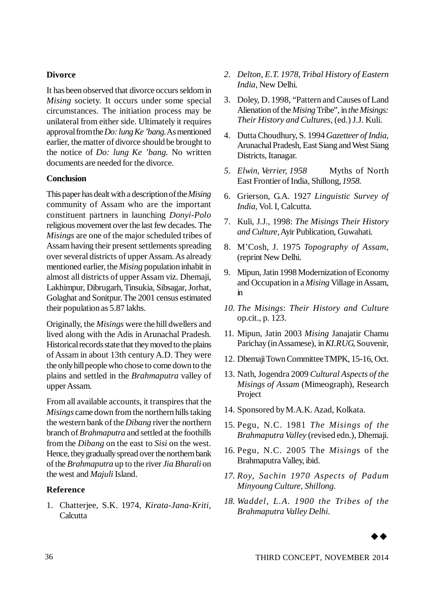#### **Divorce**

It has been observed that divorce occurs seldom in *Mising* society. It occurs under some special circumstances. The initiation process may be unilateral from either side. Ultimately it requires approval from the *Do: lung Ke 'bang.* As mentioned earlier, the matter of divorce should be brought to the notice of *Do: lung Ke 'bang.* No written documents are needed for the divorce.

#### **Conclusion**

This paper has dealt with a description of the *Mising* community of Assam who are the important constituent partners in launching *Donyi-Polo* religious movement over the last few decades. The *Misings* are one of the major scheduled tribes of Assam having their present settlements spreading over several districts of upper Assam. As already mentioned earlier, the *Mising* population inhabit in almost all districts of upper Assam viz. Dhemaji, Lakhimpur, Dibrugarh, Tinsukia, Sibsagar, Jorhat, Golaghat and Sonitpur. The 2001 census estimated their population as 5.87 lakhs.

Originally, the *Misings* were the hill dwellers and lived along with the Adis in Arunachal Pradesh. Historical records state that they moved to the plains of Assam in about 13th century A.D. They were the only hill people who chose to come down to the plains and settled in the *Brahmaputra* valley of upper Assam.

From all available accounts, it transpires that the *Misings* came down from the northern hills taking the western bank of the *Dibang* river the northern branch of *Brahmaputra* and settled at the foothills from the *Dibang* on the east to *Sisi* on the west. Hence, they gradually spread over the northern bank of the *Brahmaputra* up to the river *Jia Bharali* on the west and *Majuli* Island.

#### **Reference**

1. Chatterjee, S.K. 1974, *Kirata-Jana-Kriti,* **Calcutta** 

- *2. Delton, E.T. 1978, Tribal History of Eastern India,* New Delhi.
- 3. Doley, D. 1998, "Pattern and Causes of Land Alienation of the *Mising* Tribe", in *the Misings: Their History and Cultures,* (ed.) J.J. Kuli.
- 4. Dutta Choudhury, S. 1994 *Gazetteer of India,* Arunachal Pradesh, East Siang and West Siang Districts, Itanagar.
- *5. Elwin, Verrier, 1958* Myths of North East Frontier of India, Shillong, *1958.*
- 6. Grierson, G.A. 1927 *Linguistic Survey of India,* Vol. I, Calcutta.
- 7. Kuli, J.J., 1998: *The Misings Their History and Culture,* Ayir Publication, Guwahati.
- 8. M'Cosh, J. 1975 *Topography of Assam,* (reprint New Delhi.
- 9. Mipun, Jatin 1998 Modernization of Economy and Occupation in a *Mising* Village in Assam, in
- *10. The Misings*: *Their History and Culture* op.cit., p. 123.
- 11. Mipun, Jatin 2003 *Mising* Janajatir Chamu Parichay (in Assamese), in *KI.RUG,* Souvenir,
- 12. Dhemaji Town Committee TMPK, 15-16, Oct.
- 13. Nath, Jogendra 2009 *Cultural Aspects of the Misings of Assam* (Mimeograph), Research Project
- 14. Sponsored by M.A.K. Azad, Kolkata.
- 15. Pegu, N.C. 1981 *The Misings of the Brahmaputra Valley* (revised edn.), Dhemaji.
- 16. Pegu, N.C. 2005 The *Mising*s of the Brahmaputra Valley, ibid.
- *17. Roy, Sachin 1970 Aspects of Padum Minyoung Culture*, *Shillong.*
- *18. Waddel, L.A. 1900 the Tribes of the Brahmaputra Valley Delhi.*



36 THIRD CONCEPT, NOVEMBER 2014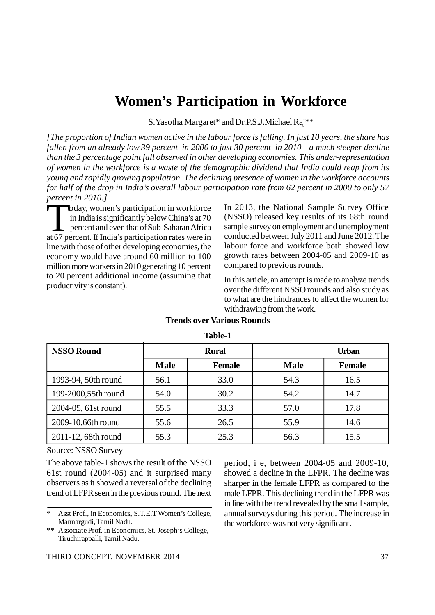## **Women's Participation in Workforce**

S.Yasotha Margaret\* and Dr.P.S.J.Michael Raj\*\*

*[The proportion of Indian women active in the labour force is falling. In just 10 years, the share has fallen from an already low 39 percent in 2000 to just 30 percent in 2010—a much steeper decline than the 3 percentage point fall observed in other developing economies. This under-representation of women in the workforce is a waste of the demographic dividend that India could reap from its young and rapidly growing population. The declining presence of women in the workforce accounts for half of the drop in India's overall labour participation rate from 62 percent in 2000 to only 57 percent in 2010.]*

oday, women's participation in workforce<br>in India is significantly below China's at 70<br>percent and even that of Sub-Saharan Africa<br>at 67 percent. If India's participation rates were in oday, women's participation in workforce in India is significantly below China's at 70 percent and even that of Sub-Saharan Africa line with those of other developing economies, the economy would have around 60 million to 100 million more workers in 2010 generating 10 percent to 20 percent additional income (assuming that productivity is constant).

In 2013, the National Sample Survey Office (NSSO) released key results of its 68th round sample survey on employment and unemployment conducted between July 2011 and June 2012. The labour force and workforce both showed low growth rates between 2004-05 and 2009-10 as compared to previous rounds.

In this article, an attempt is made to analyze trends over the different NSSO rounds and also study as to what are the hindrances to affect the women for withdrawing from the work.

| <b>NSSO Round</b>   | <b>Rural</b> |               |      | Urban         |
|---------------------|--------------|---------------|------|---------------|
|                     | Male         | <b>Female</b> | Male | <b>Female</b> |
| 1993-94, 50th round | 56.1         | 33.0          | 54.3 | 16.5          |
| 199-2000,55th round | 54.0         | 30.2          | 54.2 | 14.7          |
| 2004-05, 61st round | 55.5         | 33.3          | 57.0 | 17.8          |
| 2009-10,66th round  | 55.6         | 26.5          | 55.9 | 14.6          |
| 2011-12, 68th round | 55.3         | 25.3          | 56.3 | 15.5          |

## **Trends over Various Rounds Table-1**

Source: NSSO Survey

The above table-1 shows the result of the NSSO 61st round (2004-05) and it surprised many observers as it showed a reversal of the declining trend of LFPR seen in the previous round. The next

period, i e, between 2004-05 and 2009-10, showed a decline in the LFPR. The decline was sharper in the female LFPR as compared to the male LFPR. This declining trend in the LFPR was in line with the trend revealed by the small sample, annual surveys during this period. The increase in the workforce was not very significant.

Asst Prof., in Economics, S.T.E.T Women's College, Mannargudi, Tamil Nadu.

<sup>\*\*</sup> Associate Prof. in Economics, St. Joseph's College, Tiruchirappalli, Tamil Nadu.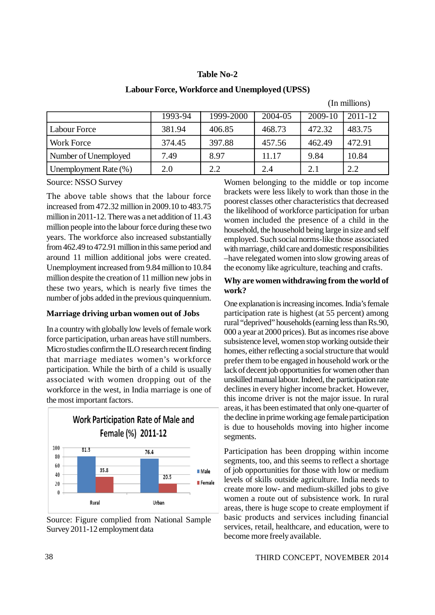#### **Table No-2**

|                       |         |           |             |         | (In millions) |
|-----------------------|---------|-----------|-------------|---------|---------------|
|                       | 1993-94 | 1999-2000 | $2004 - 05$ | 2009-10 | $2011 - 12$   |
| Labour Force          | 381.94  | 406.85    | 468.73      | 472.32  | 483.75        |
| <b>Work Force</b>     | 374.45  | 397.88    | 457.56      | 462.49  | 472.91        |
| Number of Unemployed  | 7.49    | 8.97      | 11.17       | 9.84    | 10.84         |
| Unemployment Rate (%) | 2.0     | 2.2       | 2.4         | 2.1     | 2.2           |

#### **Labour Force, Workforce and Unemployed (UPSS)**

Source: NSSO Survey

The above table shows that the labour force increased from 472.32 million in 2009.10 to 483.75 million in 2011-12. There was a net addition of 11.43 million people into the labour force during these two years. The workforce also increased substantially from 462.49 to 472.91 million in this same period and around 11 million additional jobs were created. Unemployment increased from 9.84 million to 10.84 million despite the creation of 11 million new jobs in these two years, which is nearly five times the number of jobs added in the previous quinquennium.

#### **Marriage driving urban women out of Jobs**

In a country with globally low levels of female work force participation, urban areas have still numbers. Micro studies confirm the ILO research recent finding that marriage mediates women's workforce participation. While the birth of a child is usually associated with women dropping out of the workforce in the west, in India marriage is one of the most important factors.



Source: Figure complied from National Sample Survey 2011-12 employment data

Women belonging to the middle or top income brackets were less likely to work than those in the poorest classes other characteristics that decreased the likelihood of workforce participation for urban women included the presence of a child in the household, the household being large in size and self employed. Such social norms-like those associated with marriage, child care and domestic responsibilities –have relegated women into slow growing areas of the economy like agriculture, teaching and crafts.

#### **Why are women withdrawing from the world of work?**

One explanation is increasing incomes. India's female participation rate is highest (at 55 percent) among rural "deprived" households (earning less than Rs.90, 000 a year at 2000 prices). But as incomes rise above subsistence level, women stop working outside their homes, either reflecting a social structure that would prefer them to be engaged in household work or the lack of decent job opportunities for women other than unskilled manual labour. Indeed, the participation rate declines in every higher income bracket. However, this income driver is not the major issue. In rural areas, it has been estimated that only one-quarter of the decline in prime working age female participation is due to households moving into higher income segments.

Participation has been dropping within income segments, too, and this seems to reflect a shortage of job opportunities for those with low or medium levels of skills outside agriculture. India needs to create more low- and medium-skilled jobs to give women a route out of subsistence work. In rural areas, there is huge scope to create employment if basic products and services including financial services, retail, healthcare, and education, were to become more freely available.

#### 38 THIRD CONCEPT, NOVEMBER 2014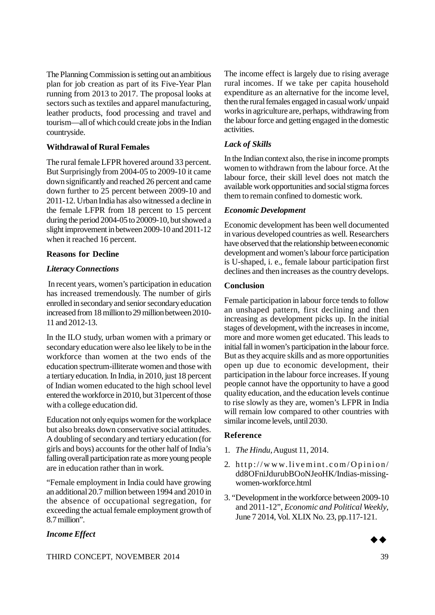The Planning Commission is setting out an ambitious plan for job creation as part of its Five-Year Plan running from 2013 to 2017. The proposal looks at sectors such as textiles and apparel manufacturing, leather products, food processing and travel and tourism—all of which could create jobs in the Indian countryside.

#### **Withdrawal of Rural Females**

The rural female LFPR hovered around 33 percent. But Surprisingly from 2004-05 to 2009-10 it came down significantly and reached 26 percent and came down further to 25 percent between 2009-10 and 2011-12. Urban India has also witnessed a decline in the female LFPR from 18 percent to 15 percent during the period 2004-05 to 20009-10, but showed a slight improvement in between 2009-10 and 2011-12 when it reached 16 percent.

#### **Reasons for Decline**

#### *Literacy Connections*

 In recent years, women's participation in education has increased tremendously. The number of girls enrolled in secondary and senior secondary education increased from 18 million to 29 million between 2010- 11 and 2012-13.

In the ILO study, urban women with a primary or secondary education were also lee likely to be in the workforce than women at the two ends of the education spectrum-illiterate women and those with a tertiary education. In India, in 2010, just 18 percent of Indian women educated to the high school level entered the workforce in 2010, but 31percent of those with a college education did.

Education not only equips women for the workplace but also breaks down conservative social attitudes. A doubling of secondary and tertiary education (for girls and boys) accounts for the other half of India's falling overall participation rate as more young people are in education rather than in work.

"Female employment in India could have growing an additional 20.7 million between 1994 and 2010 in the absence of occupational segregation, for exceeding the actual female employment growth of 8.7 million".

## *Income Effect*

The income effect is largely due to rising average rural incomes. If we take per capita household expenditure as an alternative for the income level, then the rural females engaged in casual work/ unpaid works in agriculture are, perhaps, withdrawing from the labour force and getting engaged in the domestic activities.

#### *Lack of Skills*

In the Indian context also, the rise in income prompts women to withdrawn from the labour force. At the labour force, their skill level does not match the available work opportunities and social stigma forces them to remain confined to domestic work.

#### *Economic Development*

Economic development has been well documented in various developed countries as well. Researchers have observed that the relationship between economic development and women's labour force participation is U-shaped, i. e., female labour participation first declines and then increases as the country develops.

#### **Conclusion**

Female participation in labour force tends to follow an unshaped pattern, first declining and then increasing as development picks up. In the initial stages of development, with the increases in income, more and more women get educated. This leads to initial fall in women's participation in the labour force. But as they acquire skills and as more opportunities open up due to economic development, their participation in the labour force increases. If young people cannot have the opportunity to have a good quality education, and the education levels continue to rise slowly as they are, women's LFPR in India will remain low compared to other countries with similar income levels, until 2030.

#### **Reference**

- 1. *The Hindu*, August 11, 2014.
- 2.  $http://www.livemint.com/Opinion/$ dd8OFniJdurubBOoNJeoHK/Indias-missingwomen-workforce.html
- 3. "Development in the workforce between 2009-10 and 2011-12", *Economic and Political Weekly*, June 7 2014, Vol. XLIX No. 23, pp.117-121.

 $\rightarrow \rightarrow$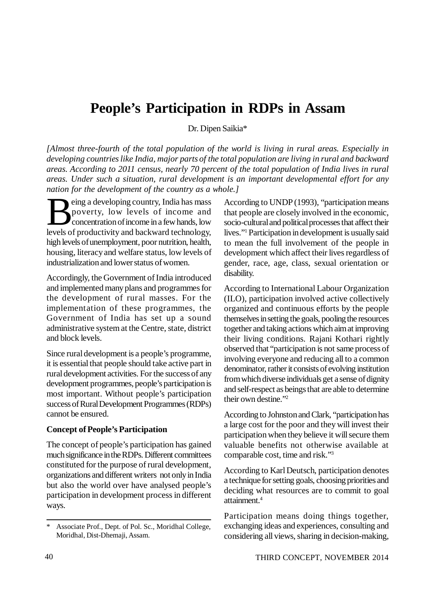# **People's Participation in RDPs in Assam**

Dr. Dipen Saikia\*

*[Almost three-fourth of the total population of the world is living in rural areas. Especially in developing countries like India, major parts of the total population are living in rural and backward areas. According to 2011 census, nearly 70 percent of the total population of India lives in rural areas. Under such a situation, rural development is an important developmental effort for any nation for the development of the country as a whole.]*

Being a developing country, India has mass<br>poverty, low levels of income and<br>concentration of income in a few hands, low<br>levels of productivity and backward technology, eing a developing country, India has mass poverty, low levels of income and concentration of income in a few hands, low high levels of unemployment, poor nutrition, health, housing, literacy and welfare status, low levels of industrialization and lower status of women.

Accordingly, the Government of India introduced and implemented many plans and programmes for the development of rural masses. For the implementation of these programmes, the Government of India has set up a sound administrative system at the Centre, state, district and block levels.

Since rural development is a people's programme, it is essential that people should take active part in rural development activities. For the success of any development programmes, people's participation is most important. Without people's participation success of Rural Development Programmes (RDPs) cannot be ensured.

#### **Concept of People's Participation**

The concept of people's participation has gained much significance in the RDPs. Different committees constituted for the purpose of rural development, organizations and different writers not only in India but also the world over have analysed people's participation in development process in different ways.

According to UNDP (1993), "participation means that people are closely involved in the economic, socio-cultural and political processes that affect their lives."<sup>1</sup> Participation in development is usually said to mean the full involvement of the people in development which affect their lives regardless of gender, race, age, class, sexual orientation or disability.

According to International Labour Organization (ILO), participation involved active collectively organized and continuous efforts by the people themselves in setting the goals, pooling the resources together and taking actions which aim at improving their living conditions. Rajani Kothari rightly observed that "participation is not same process of involving everyone and reducing all to a common denominator, rather it consists of evolving institution from which diverse individuals get a sense of dignity and self-respect as beings that are able to determine their own destine."<sup>2</sup>

According to Johnston and Clark, "participation has a large cost for the poor and they will invest their participation when they believe it will secure them valuable benefits not otherwise available at comparable cost, time and risk."<sup>3</sup>

According to Karl Deutsch, participation denotes a technique for setting goals, choosing priorities and deciding what resources are to commit to goal attainment.<sup>4</sup>

Participation means doing things together, exchanging ideas and experiences, consulting and considering all views, sharing in decision-making,

Associate Prof., Dept. of Pol. Sc., Moridhal College, Moridhal, Dist-Dhemaji, Assam.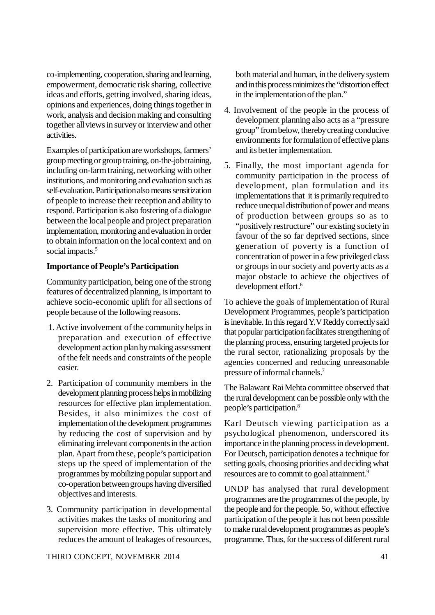co-implementing, cooperation, sharing and learning, empowerment, democratic risk sharing, collective ideas and efforts, getting involved, sharing ideas, opinions and experiences, doing things together in work, analysis and decision making and consulting together all views in survey or interview and other activities.

Examples of participation are workshops, farmers' group meeting or group training, on-the-job training, including on-farm training, networking with other institutions, and monitoring and evaluation such as self-evaluation. Participation also means sensitization of people to increase their reception and ability to respond. Participation is also fostering of a dialogue between the local people and project preparation implementation, monitoring and evaluation in order to obtain information on the local context and on social impacts.<sup>5</sup>

#### **Importance of People's Participation**

Community participation, being one of the strong features of decentralized planning, is important to achieve socio-economic uplift for all sections of people because of the following reasons.

- 1. Active involvement of the community helps in preparation and execution of effective development action plan by making assessment of the felt needs and constraints of the people easier.
- 2. Participation of community members in the development planning process helps in mobilizing resources for effective plan implementation. Besides, it also minimizes the cost of implementation of the development programmes by reducing the cost of supervision and by eliminating irrelevant components in the action plan. Apart from these, people's participation steps up the speed of implementation of the programmes by mobilizing popular support and co-operation between groups having diversified objectives and interests.
- 3. Community participation in developmental activities makes the tasks of monitoring and supervision more effective. This ultimately reduces the amount of leakages of resources,

THIRD CONCEPT, NOVEMBER 2014 41

both material and human, in the delivery system and in this process minimizes the "distortion effect in the implementation of the plan."

- 4. Involvement of the people in the process of development planning also acts as a "pressure group" from below, thereby creating conducive environments for formulation of effective plans and its better implementation.
- 5. Finally, the most important agenda for community participation in the process of development, plan formulation and its implementations that it is primarily required to reduce unequal distribution of power and means of production between groups so as to "positively restructure" our existing society in favour of the so far deprived sections, since generation of poverty is a function of concentration of power in a few privileged class or groups in our society and poverty acts as a major obstacle to achieve the objectives of development effort.<sup>6</sup>

To achieve the goals of implementation of Rural Development Programmes, people's participation is inevitable. In this regard Y.V Reddy correctly said that popular participation facilitates strengthening of the planning process, ensuring targeted projects for the rural sector, rationalizing proposals by the agencies concerned and reducing unreasonable pressure of informal channels.<sup>7</sup>

The Balawant Rai Mehta committee observed that the rural development can be possible only with the people's participation.<sup>8</sup>

Karl Deutsch viewing participation as a psychological phenomenon, underscored its importance in the planning process in development. For Deutsch, participation denotes a technique for setting goals, choosing priorities and deciding what resources are to commit to goal attainment.<sup>9</sup>

UNDP has analysed that rural development programmes are the programmes of the people, by the people and for the people. So, without effective participation of the people it has not been possible to make rural development programmes as people's programme. Thus, for the success of different rural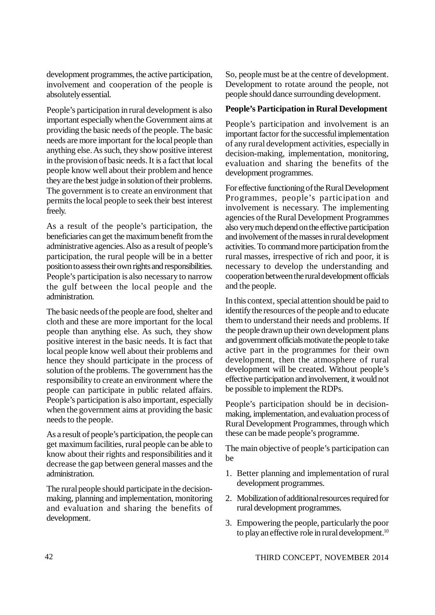development programmes, the active participation, involvement and cooperation of the people is absolutely essential.

People's participation in rural development is also important especially when the Government aims at providing the basic needs of the people. The basic needs are more important for the local people than anything else. As such, they show positive interest in the provision of basic needs. It is a fact that local people know well about their problem and hence they are the best judge in solution of their problems. The government is to create an environment that permits the local people to seek their best interest freely.

As a result of the people's participation, the beneficiaries can get the maximum benefit from the administrative agencies. Also as a result of people's participation, the rural people will be in a better position to assess their own rights and responsibilities. People's participation is also necessary to narrow the gulf between the local people and the administration.

The basic needs of the people are food, shelter and cloth and these are more important for the local people than anything else. As such, they show positive interest in the basic needs. It is fact that local people know well about their problems and hence they should participate in the process of solution of the problems. The government has the responsibility to create an environment where the people can participate in public related affairs. People's participation is also important, especially when the government aims at providing the basic needs to the people.

As a result of people's participation, the people can get maximum facilities, rural people can be able to know about their rights and responsibilities and it decrease the gap between general masses and the administration.

The rural people should participate in the decisionmaking, planning and implementation, monitoring and evaluation and sharing the benefits of development.

So, people must be at the centre of development. Development to rotate around the people, not people should dance surrounding development.

#### **People's Participation in Rural Development**

People's participation and involvement is an important factor for the successful implementation of any rural development activities, especially in decision-making, implementation, monitoring, evaluation and sharing the benefits of the development programmes.

For effective functioning of the Rural Development Programmes, people's participation and involvement is necessary. The implementing agencies of the Rural Development Programmes also very much depend on the effective participation and involvement of the masses in rural development activities. To command more participation from the rural masses, irrespective of rich and poor, it is necessary to develop the understanding and cooperation between the rural development officials and the people.

In this context, special attention should be paid to identify the resources of the people and to educate them to understand their needs and problems. If the people drawn up their own development plans and government officials motivate the people to take active part in the programmes for their own development, then the atmosphere of rural development will be created. Without people's effective participation and involvement, it would not be possible to implement the RDPs.

People's participation should be in decisionmaking, implementation, and evaluation process of Rural Development Programmes, through which these can be made people's programme.

The main objective of people's participation can be

- 1. Better planning and implementation of rural development programmes.
- 2. Mobilization of additional resources required for rural development programmes.
- 3. Empowering the people, particularly the poor to play an effective role in rural development.<sup>10</sup>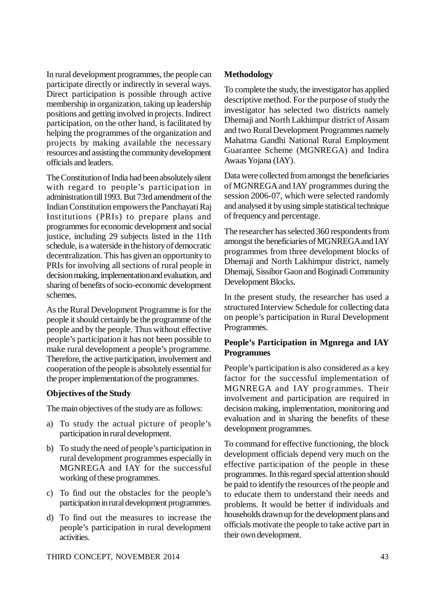In rural development programmes, the people can participate directly or indirectly in several ways. Direct participation is possible through active membership in organization, taking up leadership positions and getting involved in projects. Indirect participation, on the other hand, is facilitated by helping the programmes of the organization and projects by making available the necessary resources and assisting the community development officials and leaders.

The Constitution of India had been absolutely silent with regard to people's participation in administration till 1993. But 73rd amendment of the Indian Constitution empowers the Panchayati Raj Institutions (PRIs) to prepare plans and programmes for economic development and social justice, including 29 subjects listed in the 11th schedule, is a waterside in the history of democratic decentralization. This has given an opportunity to PRIs for involving all sections of rural people in decision making, implementation and evaluation, and sharing of benefits of socio-economic development schemes.

As the Rural Development Programme is for the people it should certainly be the programme of the people and by the people. Thus without effective people's participation it has not been possible to make rural development a people's programme. Therefore, the active participation, involvement and cooperation of the people is absolutely essential for the proper implementation of the programmes.

#### **Objectives of the Study**

The main objectives of the study are as follows:

- a) To study the actual picture of people's participation in rural development.
- b) To study the need of people's participation in rural development programmes especially in MGNREGA and IAY for the successful working of these programmes.
- c) To find out the obstacles for the people's participation in rural development programmes.
- d) To find out the measures to increase the people's participation in rural development activities.

#### **Methodology**

To complete the study, the investigator has applied descriptive method. For the purpose of study the investigator has selected two districts namely Dhemaji and North Lakhimpur district of Assam and two Rural Development Programmes namely Mahatma Gandhi National Rural Employment Guarantee Scheme (MGNREGA) and Indira Awaas Yojana (IAY).

Data were collected from amongst the beneficiaries of MGNREGA and IAY programmes during the session 2006-07, which were selected randomly and analysed it by using simple statistical technique of frequency and percentage.

The researcher has selected 360 respondents from amongst the beneficiaries of MGNREGA and IAY programmes from three development blocks of Dhemaji and North Lakhimpur district, namely Dhemaji, Sissibor Gaon and Boginadi Community Development Blocks.

In the present study, the researcher has used a structured Interview Schedule for collecting data on people's participation in Rural Development Programmes.

## **People's Participation in Mgnrega and IAY Programmes**

People's participation is also considered as a key factor for the successful implementation of MGNREGA and IAY programmes. Their involvement and participation are required in decision making, implementation, monitoring and evaluation and in sharing the benefits of these development programmes.

To command for effective functioning, the block development officials depend very much on the effective participation of the people in these programmes. In this regard special attention should be paid to identify the resources of the people and to educate them to understand their needs and problems. It would be better if individuals and households drawn up for the development plans and officials motivate the people to take active part in their own development.

THIRD CONCEPT, NOVEMBER 2014 43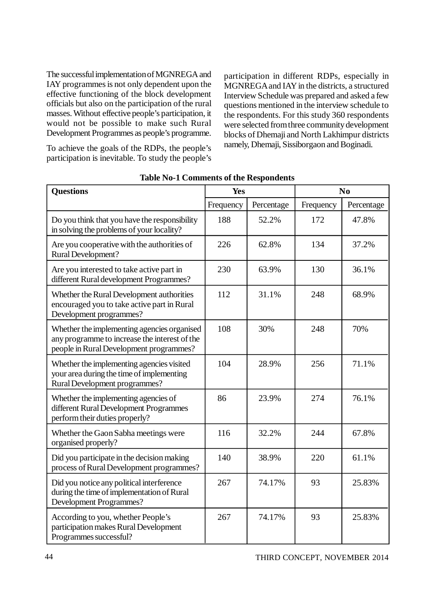The successful implementation of MGNREGA and IAY programmes is not only dependent upon the effective functioning of the block development officials but also on the participation of the rural masses. Without effective people's participation, it would not be possible to make such Rural Development Programmes as people's programme.

To achieve the goals of the RDPs, the people's participation is inevitable. To study the people's participation in different RDPs, especially in MGNREGA and IAY in the districts, a structured Interview Schedule was prepared and asked a few questions mentioned in the interview schedule to the respondents. For this study 360 respondents were selected from three community development blocks of Dhemaji and North Lakhimpur districts namely, Dhemaji, Sissiborgaon and Boginadi.

| <b>Questions</b>                                                                                                                        | Yes       |            | N <sub>0</sub> |            |  |
|-----------------------------------------------------------------------------------------------------------------------------------------|-----------|------------|----------------|------------|--|
|                                                                                                                                         | Frequency | Percentage | Frequency      | Percentage |  |
| Do you think that you have the responsibility<br>in solving the problems of your locality?                                              | 188       | 52.2%      | 172            | 47.8%      |  |
| Are you cooperative with the authorities of<br>Rural Development?                                                                       | 226       | 62.8%      | 134            | 37.2%      |  |
| Are you interested to take active part in<br>different Rural development Programmes?                                                    | 230       | 63.9%      | 130            | 36.1%      |  |
| Whether the Rural Development authorities<br>encouraged you to take active part in Rural<br>Development programmes?                     | 112       | 31.1%      | 248            | 68.9%      |  |
| Whether the implementing agencies organised<br>any programme to increase the interest of the<br>people in Rural Development programmes? | 108       | 30%        | 248            | 70%        |  |
| Whether the implementing agencies visited<br>your area during the time of implementing<br>Rural Development programmes?                 | 104       | 28.9%      | 256            | 71.1%      |  |
| Whether the implementing agencies of<br>different Rural Development Programmes<br>perform their duties properly?                        | 86        | 23.9%      | 274            | 76.1%      |  |
| Whether the Gaon Sabha meetings were<br>organised properly?                                                                             | 116       | 32.2%      | 244            | 67.8%      |  |
| Did you participate in the decision making<br>process of Rural Development programmes?                                                  | 140       | 38.9%      | 220            | 61.1%      |  |
| Did you notice any political interference<br>during the time of implementation of Rural<br><b>Development Programmes?</b>               | 267       | 74.17%     | 93             | 25.83%     |  |
| According to you, whether People's<br>participation makes Rural Development<br>Programmes successful?                                   | 267       | 74.17%     | 93             | 25.83%     |  |

**Table No-1 Comments of the Respondents**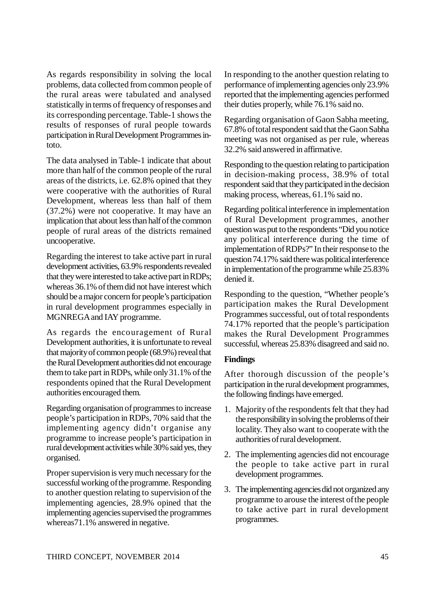As regards responsibility in solving the local problems, data collected from common people of the rural areas were tabulated and analysed statistically in terms of frequency of responses and its corresponding percentage. Table-1 shows the results of responses of rural people towards participation in Rural Development Programmes intoto.

The data analysed in Table-1 indicate that about more than half of the common people of the rural areas of the districts, i.e. 62.8% opined that they were cooperative with the authorities of Rural Development, whereas less than half of them (37.2%) were not cooperative. It may have an implication that about less than half of the common people of rural areas of the districts remained uncooperative.

Regarding the interest to take active part in rural development activities, 63.9% respondents revealed that they were interested to take active part in RDPs; whereas 36.1% of them did not have interest which should be a major concern for people's participation in rural development programmes especially in MGNREGA and IAY programme.

As regards the encouragement of Rural Development authorities, it is unfortunate to reveal that majority of common people (68.9%) reveal that the Rural Development authorities did not encourage them to take part in RDPs, while only 31.1% of the respondents opined that the Rural Development authorities encouraged them.

Regarding organisation of programmes to increase people's participation in RDPs, 70% said that the implementing agency didn't organise any programme to increase people's participation in rural development activities while 30% said yes, they organised.

Proper supervision is very much necessary for the successful working of the programme. Responding to another question relating to supervision of the implementing agencies, 28.9% opined that the implementing agencies supervised the programmes whereas71.1% answered in negative.

In responding to the another question relating to performance of implementing agencies only 23.9% reported that the implementing agencies performed their duties properly, while 76.1% said no.

Regarding organisation of Gaon Sabha meeting, 67.8% of total respondent said that the Gaon Sabha meeting was not organised as per rule, whereas 32.2% said answered in affirmative.

Responding to the question relating to participation in decision-making process, 38.9% of total respondent said that they participated in the decision making process, whereas, 61.1% said no.

Regarding political interference in implementation of Rural Development programmes, another question was put to the respondents "Did you notice any political interference during the time of implementation of RDPs?" In their response to the question 74.17% said there was political interference in implementation of the programme while 25.83% denied it.

Responding to the question, "Whether people's participation makes the Rural Development Programmes successful, out of total respondents 74.17% reported that the people's participation makes the Rural Development Programmes successful, whereas 25.83% disagreed and said no.

#### **Findings**

After thorough discussion of the people's participation in the rural development programmes, the following findings have emerged.

- 1. Majority of the respondents felt that they had the responsibility in solving the problems of their locality. They also want to cooperate with the authorities of rural development.
- 2. The implementing agencies did not encourage the people to take active part in rural development programmes.
- 3. The implementing agencies did not organized any programme to arouse the interest of the people to take active part in rural development programmes.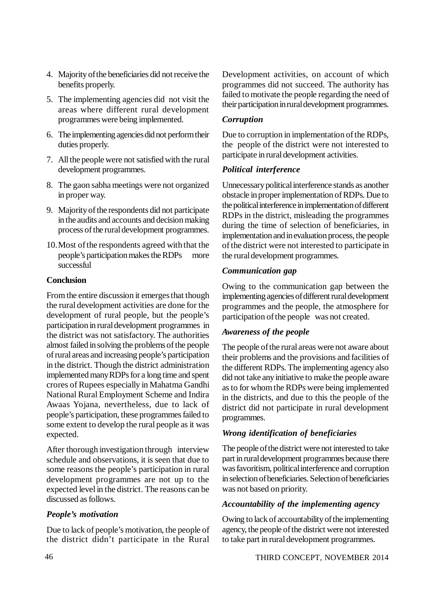- 4. Majority of the beneficiaries did not receive the benefits properly.
- 5. The implementing agencies did not visit the areas where different rural development programmes were being implemented.
- 6. The implementing agencies did not perform their duties properly.
- 7. All the people were not satisfied with the rural development programmes.
- 8. The gaon sabha meetings were not organized in proper way.
- 9. Majority of the respondents did not participate in the audits and accounts and decision making process of the rural development programmes.
- 10.Most of the respondents agreed with that the people's participation makes the RDPs more successful

## **Conclusion**

From the entire discussion it emerges that though the rural development activities are done for the development of rural people, but the people's participation in rural development programmes in the district was not satisfactory. The authorities almost failed in solving the problems of the people of rural areas and increasing people's participation in the district. Though the district administration implemented many RDPs for a long time and spent crores of Rupees especially in Mahatma Gandhi National Rural Employment Scheme and Indira Awaas Yojana, nevertheless, due to lack of people's participation, these programmes failed to some extent to develop the rural people as it was expected.

After thorough investigation through interview schedule and observations, it is seen that due to some reasons the people's participation in rural development programmes are not up to the expected level in the district. The reasons can be discussed as follows.

#### *People's motivation*

Due to lack of people's motivation, the people of the district didn't participate in the Rural

Development activities, on account of which programmes did not succeed. The authority has failed to motivate the people regarding the need of their participation in rural development programmes.

## *Corruption*

Due to corruption in implementation of the RDPs, the people of the district were not interested to participate in rural development activities.

#### *Political interference*

Unnecessary political interference stands as another obstacle in proper implementation of RDPs. Due to the political interference in implementation of different RDPs in the district, misleading the programmes during the time of selection of beneficiaries, in implementation and in evaluation process, the people of the district were not interested to participate in the rural development programmes.

### *Communication gap*

Owing to the communication gap between the implementing agencies of different rural development programmes and the people, the atmosphere for participation of the people was not created.

## *Awareness of the people*

The people of the rural areas were not aware about their problems and the provisions and facilities of the different RDPs. The implementing agency also did not take any initiative to make the people aware as to for whom the RDPs were being implemented in the districts, and due to this the people of the district did not participate in rural development programmes.

## *Wrong identification of beneficiaries*

The people of the district were not interested to take part in rural development programmes because there was favoritism, political interference and corruption in selection of beneficiaries. Selection of beneficiaries was not based on priority.

#### *Accountability of the implementing agency*

Owing to lack of accountability of the implementing agency, the people of the district were not interested to take part in rural development programmes.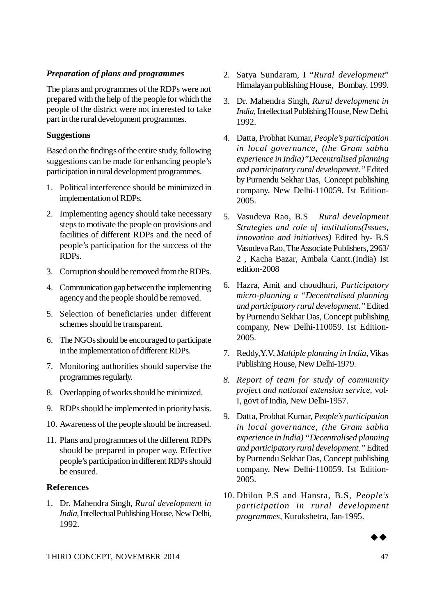## *Preparation of plans and programmes*

The plans and programmes of the RDPs were not prepared with the help of the people for which the people of the district were not interested to take part in the rural development programmes.

#### **Suggestions**

Based on the findings of the entire study, following suggestions can be made for enhancing people's participation in rural development programmes.

- 1. Political interference should be minimized in implementation of RDPs.
- 2. Implementing agency should take necessary steps to motivate the people on provisions and facilities of different RDPs and the need of people's participation for the success of the RDPs.
- 3. Corruption should be removed from the RDPs.
- 4. Communication gap between the implementing agency and the people should be removed.
- 5. Selection of beneficiaries under different schemes should be transparent.
- 6. The NGOs should be encouraged to participate in the implementation of different RDPs.
- 7. Monitoring authorities should supervise the programmes regularly.
- 8. Overlapping of works should be minimized.
- 9. RDPs should be implemented in priority basis.
- 10. Awareness of the people should be increased.
- 11. Plans and programmes of the different RDPs should be prepared in proper way. Effective people's participation in different RDPs should be ensured.

## **References**

1. Dr. Mahendra Singh, *Rural development in India*, Intellectual Publishing House, New Delhi, 1992.

- 2. Satya Sundaram, I "*Rural development*" Himalayan publishing House, Bombay. 1999.
- 3. Dr. Mahendra Singh, *Rural development in India*, Intellectual Publishing House, New Delhi, 1992.
- 4. Datta, Probhat Kumar, *People's participation in local governance, (the Gram sabha experience in India)"Decentralised planning and participatory rural development."* Edited by Purnendu Sekhar Das, Concept publishing company, New Delhi-110059. Ist Edition-2005.
- 5. Vasudeva Rao, B.S *Rural development Strategies and role of institutions(Issues, innovation and initiatives)* Edited by- B.S Vasudeva Rao, The Associate Publishers, 2963/ 2 , Kacha Bazar, Ambala Cantt.(India) Ist edition-2008
- 6. Hazra, Amit and choudhuri, *Participatory micro-planning a "Decentralised planning and participatory rural development."* Edited by Purnendu Sekhar Das, Concept publishing company, New Delhi-110059. Ist Edition-2005.
- 7. Reddy,Y.V, *Multiple planning in India*, Vikas Publishing House, New Delhi-1979.
- *8. Report of team for study of community project and national extension service*, vol-I, govt of India, New Delhi-1957.
- 9. Datta, Probhat Kumar, *People's participation in local governance, (the Gram sabha experience in India) "Decentralised planning and participatory rural development."* Edited by Purnendu Sekhar Das, Concept publishing company, New Delhi-110059. Ist Edition-2005.
- 10. Dhilon P.S and Hansra, B.S, *People's participation in rural development programmes,* Kurukshetra, Jan-1995.

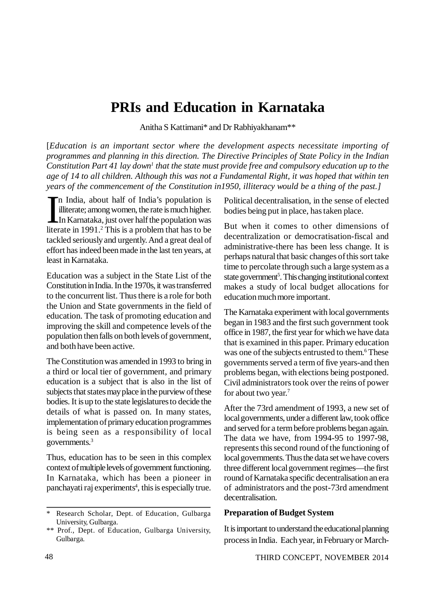## **PRIs and Education in Karnataka**

Anitha S Kattimani\* and Dr Rabhiyakhanam\*\*

[*Education is an important sector where the development aspects necessitate importing of programmes and planning in this direction. The Directive Principles of State Policy in the Indian* Constitution Part 41 lay down<sup>1</sup> that the state must provide free and compulsory education up to the *age of 14 to all children. Although this was not a Fundamental Right, it was hoped that within ten years of the commencement of the Constitution in1950, illiteracy would be a thing of the past.]*

 $\prod_{\text{liter}}$ n India, about half of India's population is illiterate; among women, the rate is much higher. In Karnataka, just over half the population was literate in 1991.<sup>2</sup> This is a problem that has to be tackled seriously and urgently. And a great deal of effort has indeed been made in the last ten years, at least in Karnataka.

Education was a subject in the State List of the Constitution in India. In the 1970s, it was transferred to the concurrent list. Thus there is a role for both the Union and State governments in the field of education. The task of promoting education and improving the skill and competence levels of the population then falls on both levels of government, and both have been active.

The Constitution was amended in 1993 to bring in a third or local tier of government, and primary education is a subject that is also in the list of subjects that states may place in the purview of these bodies. It is up to the state legislatures to decide the details of what is passed on. In many states, implementation of primary education programmes is being seen as a responsibility of local governments.<sup>3</sup>

Thus, education has to be seen in this complex context of multiple levels of government functioning. In Karnataka, which has been a pioneer in panchayati raj experiments<sup>4</sup>, this is especially true.

Political decentralisation, in the sense of elected bodies being put in place, has taken place.

But when it comes to other dimensions of decentralization or democratisation-fiscal and administrative-there has been less change. It is perhaps natural that basic changes of this sort take time to percolate through such a large system as a state government<sup>5</sup>. This changing institutional context makes a study of local budget allocations for education much more important.

The Karnataka experiment with local governments began in 1983 and the first such government took office in 1987, the first year for which we have data that is examined in this paper. Primary education was one of the subjects entrusted to them.<sup>6</sup> These governments served a term of five years-and then problems began, with elections being postponed. Civil administrators took over the reins of power for about two year.<sup>7</sup>

After the 73rd amendment of 1993, a new set of local governments, under a different law, took office and served for a term before problems began again. The data we have, from 1994-95 to 1997-98, represents this second round of the functioning of local governments. Thus the data set we have covers three different local government regimes—the first round of Karnataka specific decentralisation an era of administrators and the post-73rd amendment decentralisation.

#### **Preparation of Budget System**

It is important to understand the educational planning process in India. Each year, in February or March-

Research Scholar, Dept. of Education, Gulbarga University, Gulbarga.

<sup>\*\*</sup> Prof., Dept. of Education, Gulbarga University, Gulbarga.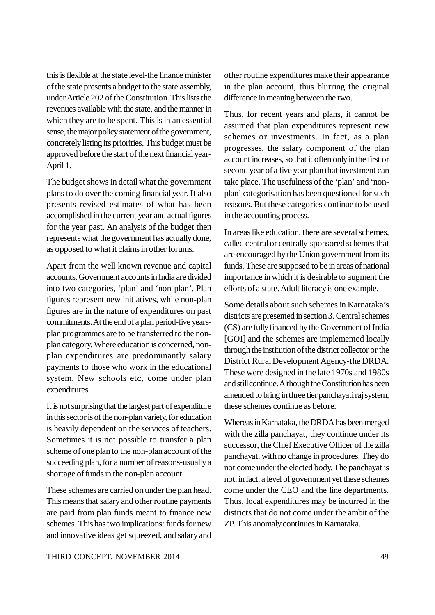this is flexible at the state level-the finance minister of the state presents a budget to the state assembly, under Article 202 of the Constitution. This lists the revenues available with the state, and the manner in which they are to be spent. This is in an essential sense, the major policy statement of the government, concretely listing its priorities. This budget must be approved before the start of the next financial year-April 1.

The budget shows in detail what the government plans to do over the coming financial year. It also presents revised estimates of what has been accomplished in the current year and actual figures for the year past. An analysis of the budget then represents what the government has actually done, as opposed to what it claims in other forums.

Apart from the well known revenue and capital accounts, Government accounts in India are divided into two categories, 'plan' and 'non-plan'. Plan figures represent new initiatives, while non-plan figures are in the nature of expenditures on past commitments. At the end of a plan period-five yearsplan programmes are to be transferred to the nonplan category. Where education is concerned, nonplan expenditures are predominantly salary payments to those who work in the educational system. New schools etc, come under plan expenditures.

It is not surprising that the largest part of expenditure in this sector is of the non-plan variety, for education is heavily dependent on the services of teachers. Sometimes it is not possible to transfer a plan scheme of one plan to the non-plan account of the succeeding plan, for a number of reasons-usually a shortage of funds in the non-plan account.

These schemes are carried on under the plan head. This means that salary and other routine payments are paid from plan funds meant to finance new schemes. This has two implications: funds for new and innovative ideas get squeezed, and salary and other routine expenditures make their appearance in the plan account, thus blurring the original difference in meaning between the two.

Thus, for recent years and plans, it cannot be assumed that plan expenditures represent new schemes or investments. In fact, as a plan progresses, the salary component of the plan account increases, so that it often only in the first or second year of a five year plan that investment can take place. The usefulness of the 'plan' and 'nonplan' categorisation has been questioned for such reasons. But these categories continue to be used in the accounting process.

In areas like education, there are several schemes, called central or centrally-sponsored schemes that are encouraged by the Union government from its funds. These are supposed to be in areas of national importance in which it is desirable to augment the efforts of a state. Adult literacy is one example.

Some details about such schemes in Karnataka's districts are presented in section 3. Central schemes (CS) are fully financed by the Government of India [GOI] and the schemes are implemented locally through the institution of the district collector or the District Rural Development Agency-the DRDA. These were designed in the late 1970s and 1980s and still continue. Although the Constitution has been amended to bring in three tier panchayati raj system, these schemes continue as before.

Whereas in Karnataka, the DRDA has been merged with the zilla panchayat, they continue under its successor, the Chief Executive Officer of the zilla panchayat, with no change in procedures. They do not come under the elected body. The panchayat is not, in fact, a level of government yet these schemes come under the CEO and the line departments. Thus, local expenditures may be incurred in the districts that do not come under the ambit of the ZP. This anomaly continues in Karnataka.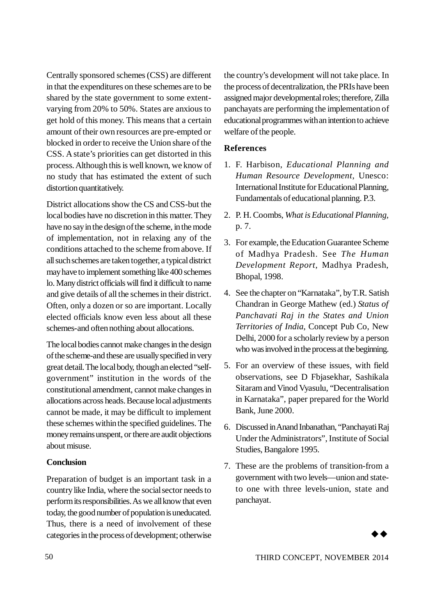Centrally sponsored schemes (CSS) are different in that the expenditures on these schemes are to be shared by the state government to some extentvarying from 20% to 50%. States are anxious to get hold of this money. This means that a certain amount of their own resources are pre-empted or blocked in order to receive the Union share of the CSS. A state's priorities can get distorted in this process. Although this is well known, we know of no study that has estimated the extent of such distortion quantitatively.

District allocations show the CS and CSS-but the local bodies have no discretion in this matter. They have no say in the design of the scheme, in the mode of implementation, not in relaxing any of the conditions attached to the scheme from above. If all such schemes are taken together, a typical district may have to implement something like 400 schemes lo. Many district officials will find it difficult to name and give details of all the schemes in their district. Often, only a dozen or so are important. Locally elected officials know even less about all these schemes-and often nothing about allocations.

The local bodies cannot make changes in the design of the scheme-and these are usually specified in very great detail. The local body, though an elected "selfgovernment" institution in the words of the constitutional amendment, cannot make changes in allocations across heads. Because local adjustments cannot be made, it may be difficult to implement these schemes within the specified guidelines. The money remains unspent, or there are audit objections about misuse.

#### **Conclusion**

Preparation of budget is an important task in a country like India, where the social sector needs to perform its responsibilities. As we all know that even today, the good number of population is uneducated. Thus, there is a need of involvement of these categories in the process of development; otherwise

the country's development will not take place. In the process of decentralization, the PRIs have been assigned major developmental roles; therefore, Zilla panchayats are performing the implementation of educational programmes with an intention to achieve welfare of the people.

#### **References**

- 1. F. Harbison, *Educational Planning and Human Resource Development*, Unesco: International Institute for Educational Planning, Fundamentals of educational planning. P.3.
- 2. P. H. Coombs, *What is Educational Planning,* p. 7.
- 3. For example, the Education Guarantee Scheme of Madhya Pradesh. See *The Human Development Report*, Madhya Pradesh, Bhopal, 1998.
- 4. See the chapter on "Karnataka", by T.R. Satish Chandran in George Mathew (ed.) *Status of Panchavati Raj in the States and Union Territories of India*, Concept Pub Co, New Delhi, 2000 for a scholarly review by a person who was involved in the process at the beginning.
- 5. For an overview of these issues, with field observations, see D Fbjasekhar, Sashikala Sitaram and Vinod Vyasulu, "Decentralisation in Karnataka", paper prepared for the World Bank, June 2000.
- 6. Discussed in Anand Inbanathan, "Panchayati Raj Under the Administrators", Institute of Social Studies, Bangalore 1995.
- 7. These are the problems of transition-from a government with two levels—union and stateto one with three levels-union, state and panchayat.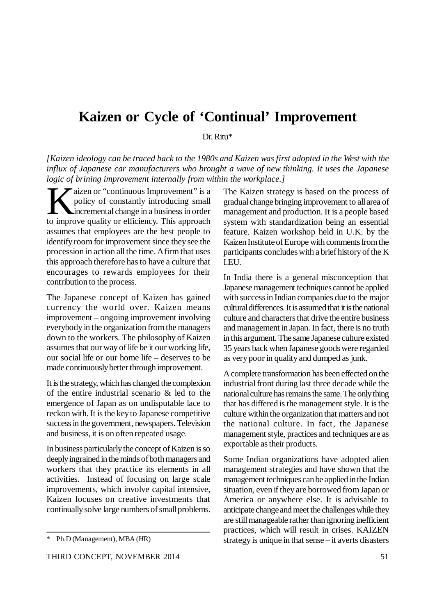## **Kaizen or Cycle of 'Continual' Improvement**

Dr. Ritu\*

*[Kaizen ideology can be traced back to the 1980s and Kaizen was first adopted in the West with the influx of Japanese car manufacturers who brought a wave of new thinking. It uses the Japanese logic of brining improvement internally from within the workplace.]*

**K** aizen or "continuous Improvement" is a policy of constantly introducing small incremental change in a business in order to improve quality or efficiency. This approach **Z** aizen or "continuous Improvement" is a policy of constantly introducing small incremental change in a business in order assumes that employees are the best people to identify room for improvement since they see the procession in action all the time. A firm that uses this approach therefore has to have a culture that encourages to rewards employees for their contribution to the process.

The Japanese concept of Kaizen has gained currency the world over. Kaizen means improvement – ongoing improvement involving everybody in the organization from the managers down to the workers. The philosophy of Kaizen assumes that our way of life be it our working life, our social life or our home life – deserves to be made continuously better through improvement.

It is the strategy, which has changed the complexion of the entire industrial scenario & led to the emergence of Japan as on undisputable lace to reckon with. It is the key to Japanese competitive success in the government, newspapers. Television and business, it is on often repeated usage.

In business particularly the concept of Kaizen is so deeply ingrained in the minds of both managers and workers that they practice its elements in all activities. Instead of focusing on large scale improvements, which involve capital intensive, Kaizen focuses on creative investments that continually solve large numbers of small problems. The Kaizen strategy is based on the process of gradual change bringing improvement to all area of management and production. It is a people based system with standardization being an essential feature. Kaizen workshop held in U.K. by the Kaizen Institute of Europe with comments from the participants concludes with a brief history of the K I.EU.

In India there is a general misconception that Japanese management techniques cannot be applied with success in Indian companies due to the major cultural differences. It is assumed that it is the national culture and characters that drive the entire business and management in Japan. In fact, there is no truth in this argument. The same Japanese culture existed 35 years back when Japanese goods were regarded as very poor in quality and dumped as junk.

A complete transformation has been effected on the industrial front during last three decade while the national culture has remains the same. The only thing that has differed is the management style. It is the culture within the organization that matters and not the national culture. In fact, the Japanese management style, practices and techniques are as exportable as their products.

Some Indian organizations have adopted alien management strategies and have shown that the management techniques can be applied in the Indian situation, even if they are borrowed from Japan or America or anywhere else. It is advisable to anticipate change and meet the challenges while they are still manageable rather than ignoring inefficient practices, which will result in crises. KAIZEN strategy is unique in that sense – it averts disasters

Ph.D (Management), MBA (HR)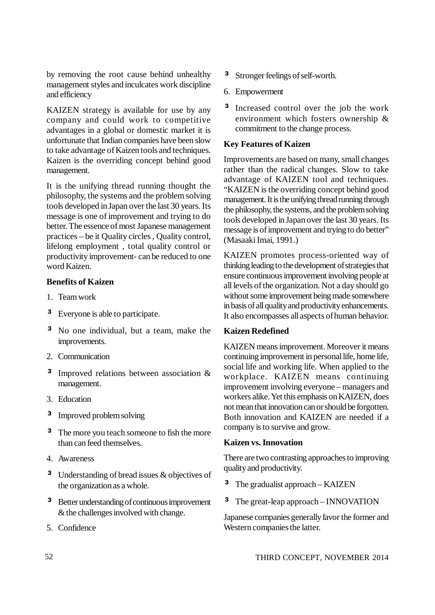by removing the root cause behind unhealthy management styles and inculcates work discipline and efficiency

KAIZEN strategy is available for use by any company and could work to competitive advantages in a global or domestic market it is unfortunate that Indian companies have been slow to take advantage of Kaizen tools and techniques. Kaizen is the overriding concept behind good management.

It is the unifying thread running thought the philosophy, the systems and the problem solving tools developed in Japan over the last 30 years. Its message is one of improvement and trying to do better. The essence of most Japanese management practices – be it Quality circles , Quality control, lifelong employment , total quality control or productivity improvement- can be reduced to one word Kaizen.

## **Benefits of Kaizen**

- 1. Team work
- **³** Everyone is able to participate.
- **³** No one individual, but a team, make the improvements.
- 2. Communication
- **³** Improved relations between association & management.
- 3. Education
- **³** Improved problem solving
- <sup>3</sup> The more you teach someone to fish the more than can feed themselves.
- 4. Awareness
- **³** Understanding of bread issues & objectives of the organization as a whole.
- **³** Better understanding of continuous improvement & the challenges involved with change.
- 5. Confidence
- **³** Stronger feelings of self-worth.
- 6. Empowerment
- **³** Increased control over the job the work environment which fosters ownership & commitment to the change process.

### **Key Features of Kaizen**

Improvements are based on many, small changes rather than the radical changes. Slow to take advantage of KAIZEN tool and techniques. "KAIZEN is the overriding concept behind good management. It is the unifying thread running through the philosophy, the systems, and the problem solving tools developed in Japan over the last 30 years. Its message is of improvement and trying to do better" (Masaaki Imai, 1991.)

KAIZEN promotes process-oriented way of thinking leading to the development of strategies that ensure continuous improvement involving people at all levels of the organization. Not a day should go without some improvement being made somewhere in basis of all quality and productivity enhancements. It also encompasses all aspects of human behavior.

## **Kaizen Redefined**

KAIZEN means improvement. Moreover it means continuing improvement in personal life, home life, social life and working life. When applied to the workplace. KAIZEN means continuing improvement involving everyone – managers and workers alike. Yet this emphasis on KAIZEN, does not mean that innovation can or should be forgotten. Both innovation and KAIZEN are needed if a company is to survive and grow.

#### **Kaizen vs. Innovation**

There are two contrasting approaches to improving quality and productivity.

- **³** The gradualist approach KAIZEN
- **³** The great-leap approach INNOVATION

Japanese companies generally favor the former and Western companies the latter.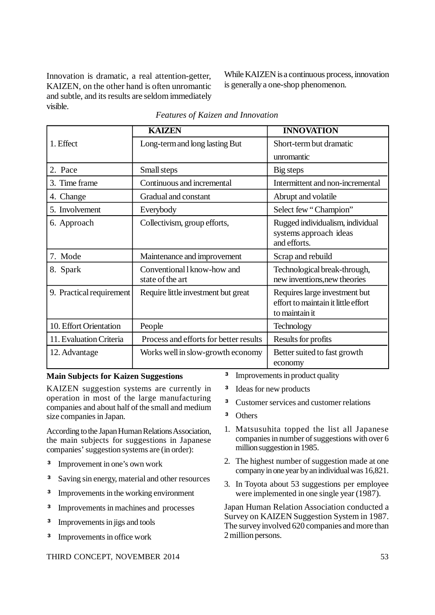Innovation is dramatic, a real attention-getter, KAIZEN, on the other hand is often unromantic and subtle, and its results are seldom immediately visible.

While KAIZEN is a continuous process, innovation is generally a one-shop phenomenon.

|                          | <b>KAIZEN</b>                                   | <b>INNOVATION</b>                                                                      |
|--------------------------|-------------------------------------------------|----------------------------------------------------------------------------------------|
| 1. Effect                | Long-term and long lasting But                  | Short-term but dramatic                                                                |
|                          |                                                 | unromantic                                                                             |
| 2. Pace                  | Small steps                                     | Big steps                                                                              |
| 3. Time frame            | Continuous and incremental                      | Intermittent and non-incremental                                                       |
| 4. Change                | Gradual and constant                            | Abrupt and volatile                                                                    |
| 5. Involvement           | Everybody                                       | Select few "Champion"                                                                  |
| 6. Approach              | Collectivism, group efforts,                    | Rugged individualism, individual<br>systems approach ideas<br>and efforts.             |
| 7. Mode                  | Maintenance and improvement                     | Scrap and rebuild                                                                      |
| 8. Spark                 | Conventional l know-how and<br>state of the art | Technological break-through,<br>new inventions, new theories                           |
| 9. Practical requirement | Require little investment but great             | Requires large investment but<br>effort to maintain it little effort<br>to maintain it |
| 10. Effort Orientation   | People                                          | Technology                                                                             |
| 11. Evaluation Criteria  | Process and efforts for better results          | Results for profits                                                                    |
| 12. Advantage            | Works well in slow-growth economy               | Better suited to fast growth<br>economy                                                |

| Features of Kaizen and Innovation |  |  |  |  |  |
|-----------------------------------|--|--|--|--|--|
|-----------------------------------|--|--|--|--|--|

#### **Main Subjects for Kaizen Suggestions**

KAIZEN suggestion systems are currently in operation in most of the large manufacturing companies and about half of the small and medium size companies in Japan.

According to the Japan Human Relations Association, the main subjects for suggestions in Japanese companies' suggestion systems are (in order):

- **³** Improvement in one's own work
- **³** Saving sin energy, material and other resources
- **³** Improvements in the working environment
- **³** Improvements in machines and processes
- **³** Improvements in jigs and tools
- **³** Improvements in office work

THIRD CONCEPT, NOVEMBER 2014 53

- **³** Improvements in product quality
- **³** Ideas for new products
- **³** Customer services and customer relations
- **³** Others
- 1. Matsusuhita topped the list all Japanese companies in number of suggestions with over 6 million suggestion in 1985.
- 2. The highest number of suggestion made at one company in one year by an individual was 16,821.
- 3. In Toyota about 53 suggestions per employee were implemented in one single year (1987).

Japan Human Relation Association conducted a Survey on KAIZEN Suggestion System in 1987. The survey involved 620 companies and more than 2 million persons.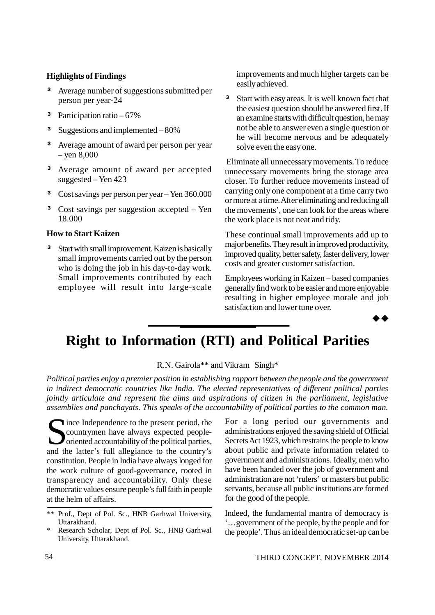#### **Highlights of Findings**

- **³** Average number of suggestions submitted per person per year-24
- **³** Participation ratio 67%
- **³** Suggestions and implemented 80%
- **³** Average amount of award per person per year – yen 8,000
- **³** Average amount of award per accepted suggested – Yen 423
- **³** Cost savings per person per year Yen 360.000
- **³** Cost savings per suggestion accepted Yen 18.000

#### **How to Start Kaizen**

**³** Start with small improvement. Kaizen is basically small improvements carried out by the person who is doing the job in his day-to-day work. Small improvements contributed by each employee will result into large-scale improvements and much higher targets can be easily achieved.

**³** Start with easy areas. It is well known fact that the easiest question should be answered first. If an examine starts with difficult question, he may not be able to answer even a single question or he will become nervous and be adequately solve even the easy one.

 Eliminate all unnecessary movements. To reduce unnecessary movements bring the storage area closer. To further reduce movements instead of carrying only one component at a time carry two or more at a time. After eliminating and reducing all the movements', one can look for the areas where the work place is not neat and tidy.

These continual small improvements add up to major benefits. They result in improved productivity, improved quality, better safety, faster delivery, lower costs and greater customer satisfaction.

Employees working in Kaizen – based companies generally find work to be easier and more enjoyable resulting in higher employee morale and job satisfaction and lower tune over.



# **Right to Information (RTI) and Political Parities**

R.N. Gairola\*\* and Vikram Singh\*

*Political parties enjoy a premier position in establishing rapport between the people and the government in indirect democratic countries like India. The elected representatives of different political parties jointly articulate and represent the aims and aspirations of citizen in the parliament, legislative assemblies and panchayats. This speaks of the accountability of political parties to the common man.*

Since Independence to the present period, the<br>
countrymen have always expected people-<br>
oriented accountability of the political parties,<br>
and the latter's full allegiance to the country's countrymen have always expected peopleoriented accountability of the political parties, and the latter's full allegiance to the country's constitution. People in India have always longed for the work culture of good-governance, rooted in transparency and accountability. Only these democratic values ensure people's full faith in people at the helm of affairs.

For a long period our governments and administrations enjoyed the saving shield of Official Secrets Act 1923, which restrains the people to know about public and private information related to government and administrations. Ideally, men who have been handed over the job of government and administration are not 'rulers' or masters but public servants, because all public institutions are formed for the good of the people.

Indeed, the fundamental mantra of democracy is '…government of the people, by the people and for the people'. Thus an ideal democratic set-up can be

<sup>\*\*</sup> Prof., Dept of Pol. Sc., HNB Garhwal University, Uttarakhand.

Research Scholar, Dept of Pol. Sc., HNB Garhwal University, Uttarakhand.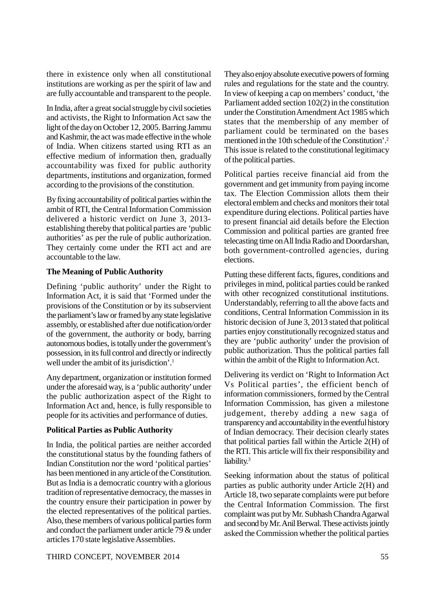there in existence only when all constitutional institutions are working as per the spirit of law and are fully accountable and transparent to the people.

In India, after a great social struggle by civil societies and activists, the Right to Information Act saw the light of the day on October 12, 2005. Barring Jammu and Kashmir, the act was made effective in the whole of India. When citizens started using RTI as an effective medium of information then, gradually accountability was fixed for public authority departments, institutions and organization, formed according to the provisions of the constitution.

By fixing accountability of political parties within the ambit of RTI, the Central Information Commission delivered a historic verdict on June 3, 2013 establishing thereby that political parties are 'public authorities' as per the rule of public authorization. They certainly come under the RTI act and are accountable to the law.

#### **The Meaning of Public Authority**

Defining 'public authority' under the Right to Information Act, it is said that 'Formed under the provisions of the Constitution or by its subservient the parliament's law or framed by any state legislative assembly, or established after due notification/order of the government, the authority or body, barring autonomous bodies, is totally under the government's possession, in its full control and directly or indirectly well under the ambit of its jurisdiction'.<sup>1</sup>

Any department, organization or institution formed under the aforesaid way, is a 'public authority' under the public authorization aspect of the Right to Information Act and, hence, is fully responsible to people for its activities and performance of duties.

#### **Political Parties as Public Authority**

In India, the political parties are neither accorded the constitutional status by the founding fathers of Indian Constitution nor the word 'political parties' has been mentioned in any article of the Constitution. But as India is a democratic country with a glorious tradition of representative democracy, the masses in the country ensure their participation in power by the elected representatives of the political parties. Also, these members of various political parties form and conduct the parliament under article 79 & under articles 170 state legislative Assemblies.

They also enjoy absolute executive powers of forming rules and regulations for the state and the country. In view of keeping a cap on members' conduct, 'the Parliament added section 102(2) in the constitution under the Constitution Amendment Act 1985 which states that the membership of any member of parliament could be terminated on the bases mentioned in the 10th schedule of the Constitution'.<sup>2</sup> This issue is related to the constitutional legitimacy of the political parties.

Political parties receive financial aid from the government and get immunity from paying income tax. The Election Commission allots them their electoral emblem and checks and monitors their total expenditure during elections. Political parties have to present financial aid details before the Election Commission and political parties are granted free telecasting time on All India Radio and Doordarshan, both government-controlled agencies, during elections.

Putting these different facts, figures, conditions and privileges in mind, political parties could be ranked with other recognized constitutional institutions. Understandably, referring to all the above facts and conditions, Central Information Commission in its historic decision of June 3, 2013 stated that political parties enjoy constitutionally recognized status and they are 'public authority' under the provision of public authorization. Thus the political parties fall within the ambit of the Right to Information Act.

Delivering its verdict on 'Right to Information Act Vs Political parties', the efficient bench of information commissioners, formed by the Central Information Commission, has given a milestone judgement, thereby adding a new saga of transparency and accountability in the eventful history of Indian democracy. Their decision clearly states that political parties fall within the Article 2(H) of the RTI. This article will fix their responsibility and liability.<sup>3</sup>

Seeking information about the status of political parties as public authority under Article 2(H) and Article 18, two separate complaints were put before the Central Information Commission. The first complaint was put by Mr. Subhash Chandra Agarwal and second by Mr. Anil Berwal. These activists jointly asked the Commission whether the political parties

#### THIRD CONCEPT, NOVEMBER 2014 55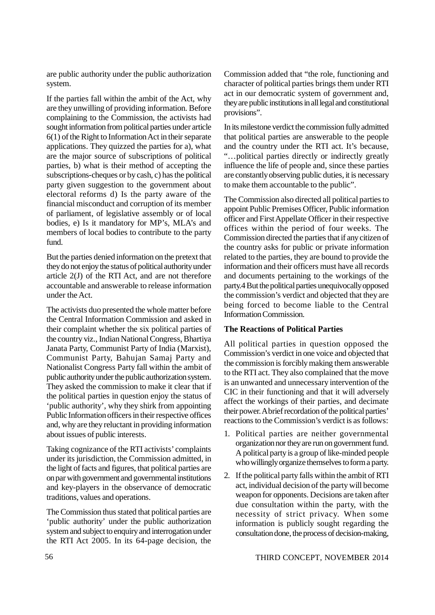are public authority under the public authorization system.

If the parties fall within the ambit of the Act, why are they unwilling of providing information. Before complaining to the Commission, the activists had sought information from political parties under article 6(1) of the Right to Information Act in their separate applications. They quizzed the parties for a), what are the major source of subscriptions of political parties, b) what is their method of accepting the subscriptions-cheques or by cash, c) has the political party given suggestion to the government about electoral reforms d) Is the party aware of the financial misconduct and corruption of its member of parliament, of legislative assembly or of local bodies, e) Is it mandatory for MP's, MLA's and members of local bodies to contribute to the party fund.

But the parties denied information on the pretext that they do not enjoy the status of political authority under article 2(J) of the RTI Act, and are not therefore accountable and answerable to release information under the Act.

The activists duo presented the whole matter before the Central Information Commission and asked in their complaint whether the six political parties of the country viz., Indian National Congress, Bhartiya Janata Party, Communist Party of India (Marxist), Communist Party, Bahujan Samaj Party and Nationalist Congress Party fall within the ambit of public authority under the public authorization system. They asked the commission to make it clear that if the political parties in question enjoy the status of 'public authority', why they shirk from appointing Public Information officers in their respective offices and, why are they reluctant in providing information about issues of public interests.

Taking cognizance of the RTI activists' complaints under its jurisdiction, the Commission admitted, in the light of facts and figures, that political parties are on par with government and governmental institutions and key-players in the observance of democratic traditions, values and operations.

The Commission thus stated that political parties are 'public authority' under the public authorization system and subject to enquiry and interrogation under the RTI Act 2005. In its 64-page decision, the

Commission added that "the role, functioning and character of political parties brings them under RTI act in our democratic system of government and, they are public institutions in all legal and constitutional provisions".

In its milestone verdict the commission fully admitted that political parties are answerable to the people and the country under the RTI act. It's because, "…political parties directly or indirectly greatly influence the life of people and, since these parties are constantly observing public duties, it is necessary to make them accountable to the public".

The Commission also directed all political parties to appoint Public Premises Officer, Public information officer and First Appellate Officer in their respective offices within the period of four weeks. The Commission directed the parties that if any citizen of the country asks for public or private information related to the parties, they are bound to provide the information and their officers must have all records and documents pertaining to the workings of the party.4 But the political parties unequivocally opposed the commission's verdict and objected that they are being forced to become liable to the Central Information Commission.

#### **The Reactions of Political Parties**

All political parties in question opposed the Commission's verdict in one voice and objected that the commission is forcibly making them answerable to the RTI act. They also complained that the move is an unwanted and unnecessary intervention of the CIC in their functioning and that it will adversely affect the workings of their parties, and decimate their power. A brief recordation of the political parties' reactions to the Commission's verdict is as follows:

- 1. Political parties are neither governmental organization nor they are run on government fund. A political party is a group of like-minded people who willingly organize themselves to form a party.
- 2. If the political party falls within the ambit of RTI act, individual decision of the party will become weapon for opponents. Decisions are taken after due consultation within the party, with the necessity of strict privacy. When some information is publicly sought regarding the consultation done, the process of decision-making,

56 THIRD CONCEPT, NOVEMBER 2014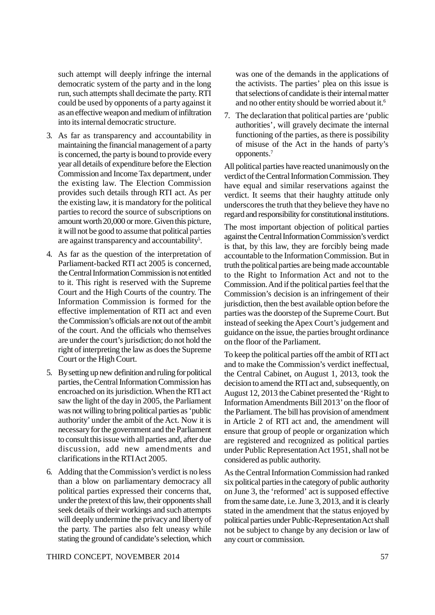such attempt will deeply infringe the internal democratic system of the party and in the long run, such attempts shall decimate the party. RTI could be used by opponents of a party against it as an effective weapon and medium of infiltration into its internal democratic structure.

- 3. As far as transparency and accountability in maintaining the financial management of a party is concerned, the party is bound to provide every year all details of expenditure before the Election Commission and Income Tax department, under the existing law. The Election Commission provides such details through RTI act. As per the existing law, it is mandatory for the political parties to record the source of subscriptions on amount worth 20,000 or more. Given this picture, it will not be good to assume that political parties are against transparency and accountability<sup>5</sup>.
- 4. As far as the question of the interpretation of Parliament-backed RTI act 2005 is concerned, the Central Information Commission is not entitled to it. This right is reserved with the Supreme Court and the High Courts of the country. The Information Commission is formed for the effective implementation of RTI act and even the Commission's officials are not out of the ambit of the court. And the officials who themselves are under the court's jurisdiction; do not hold the right of interpreting the law as does the Supreme Court or the High Court.
- 5. By setting up new definition and ruling for political parties, the Central Information Commission has encroached on its jurisdiction. When the RTI act saw the light of the day in 2005, the Parliament was not willing to bring political parties as 'public authority' under the ambit of the Act. Now it is necessary for the government and the Parliament to consult this issue with all parties and, after due discussion, add new amendments and clarifications in the RTI Act 2005.
- 6. Adding that the Commission's verdict is no less than a blow on parliamentary democracy all political parties expressed their concerns that, under the pretext of this law, their opponents shall seek details of their workings and such attempts will deeply undermine the privacy and liberty of the party. The parties also felt uneasy while stating the ground of candidate's selection, which

#### THIRD CONCEPT, NOVEMBER 2014 57

was one of the demands in the applications of the activists. The parties' plea on this issue is that selections of candidate is their internal matter and no other entity should be worried about it.<sup>6</sup>

7. The declaration that political parties are 'public authorities', will gravely decimate the internal functioning of the parties, as there is possibility of misuse of the Act in the hands of party's opponents.<sup>7</sup>

All political parties have reacted unanimously on the verdict of the Central Information Commission. They have equal and similar reservations against the verdict. It seems that their haughty attitude only underscores the truth that they believe they have no regard and responsibility for constitutional institutions.

The most important objection of political parties against the Central Information Commission's verdict is that, by this law, they are forcibly being made accountable to the Information Commission. But in truth the political parties are being made accountable to the Right to Information Act and not to the Commission. And if the political parties feel that the Commission's decision is an infringement of their jurisdiction, then the best available option before the parties was the doorstep of the Supreme Court. But instead of seeking the Apex Court's judgement and guidance on the issue, the parties brought ordinance on the floor of the Parliament.

To keep the political parties off the ambit of RTI act and to make the Commission's verdict ineffectual, the Central Cabinet, on August 1, 2013, took the decision to amend the RTI act and, subsequently, on August 12, 2013 the Cabinet presented the 'Right to Information Amendments Bill 2013' on the floor of the Parliament. The bill has provision of amendment in Article 2 of RTI act and, the amendment will ensure that group of people or organization which are registered and recognized as political parties under Public Representation Act 1951, shall not be considered as public authority.

As the Central Information Commission had ranked six political parties in the category of public authority on June 3, the 'reformed' act is supposed effective from the same date, i.e. June 3, 2013, and it is clearly stated in the amendment that the status enjoyed by political parties under Public-Representation Act shall not be subject to change by any decision or law of any court or commission.